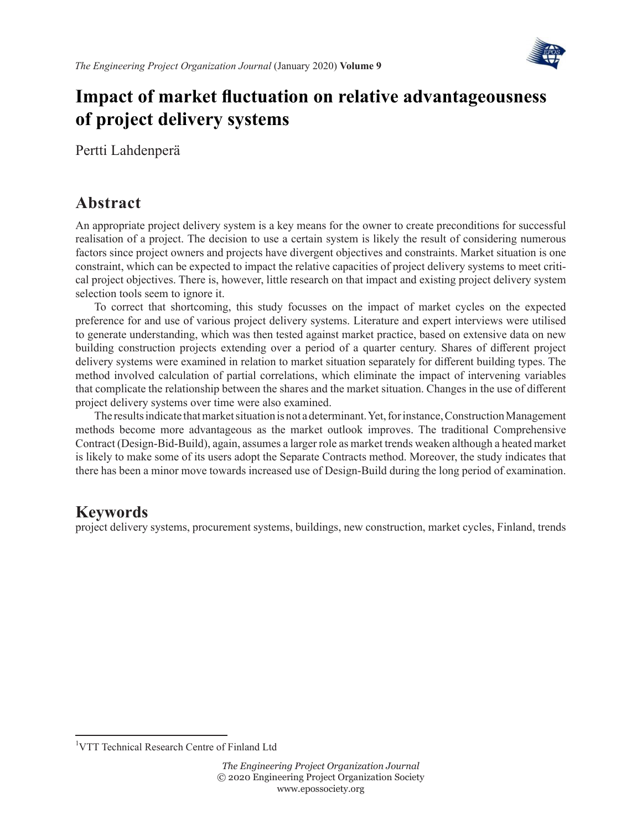

# **Impact of market fluctuation on relative advantageousness of project delivery systems**

Pertti Lahdenperä

# **Abstract**

An appropriate project delivery system is a key means for the owner to create preconditions for successful realisation of a project. The decision to use a certain system is likely the result of considering numerous factors since project owners and projects have divergent objectives and constraints. Market situation is one constraint, which can be expected to impact the relative capacities of project delivery systems to meet critical project objectives. There is, however, little research on that impact and existing project delivery system selection tools seem to ignore it.

To correct that shortcoming, this study focusses on the impact of market cycles on the expected preference for and use of various project delivery systems. Literature and expert interviews were utilised to generate understanding, which was then tested against market practice, based on extensive data on new building construction projects extending over a period of a quarter century. Shares of different project delivery systems were examined in relation to market situation separately for different building types. The method involved calculation of partial correlations, which eliminate the impact of intervening variables that complicate the relationship between the shares and the market situation. Changes in the use of different project delivery systems over time were also examined.

The results indicate that market situation is not a determinant. Yet, for instance, Construction Management methods become more advantageous as the market outlook improves. The traditional Comprehensive Contract (Design-Bid-Build), again, assumes a larger role as market trends weaken although a heated market is likely to make some of its users adopt the Separate Contracts method. Moreover, the study indicates that there has been a minor move towards increased use of Design-Build during the long period of examination.

### **Keywords**

project delivery systems, procurement systems, buildings, new construction, market cycles, Finland, trends

<sup>&</sup>lt;sup>1</sup>VTT Technical Research Centre of Finland Ltd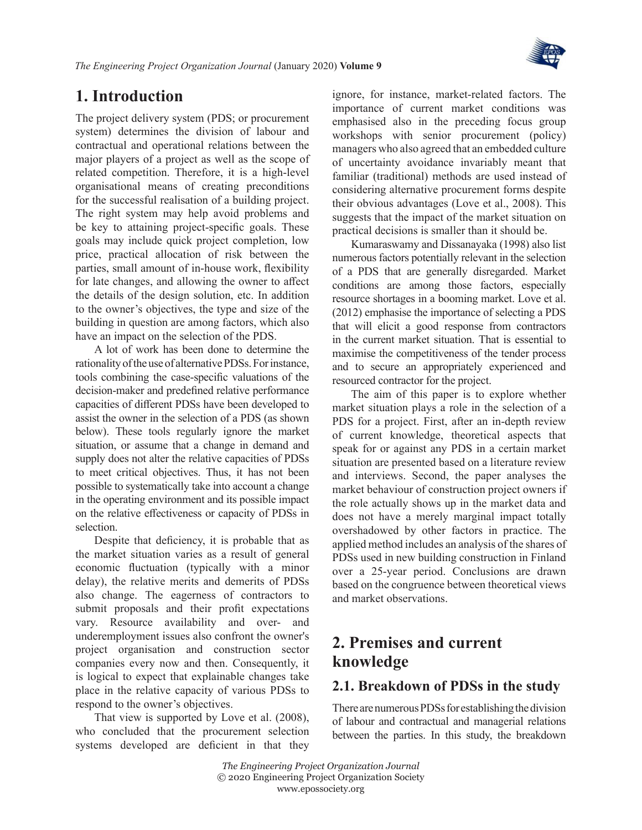

## **1. Introduction**

The project delivery system (PDS; or procurement system) determines the division of labour and contractual and operational relations between the major players of a project as well as the scope of related competition. Therefore, it is a high-level organisational means of creating preconditions for the successful realisation of a building project. The right system may help avoid problems and be key to attaining project-specific goals. These goals may include quick project completion, low price, practical allocation of risk between the parties, small amount of in-house work, flexibility for late changes, and allowing the owner to affect the details of the design solution, etc. In addition to the owner's objectives, the type and size of the building in question are among factors, which also have an impact on the selection of the PDS.

A lot of work has been done to determine the rationality of the use of alternative PDSs. For instance, tools combining the case-specific valuations of the decision-maker and predefined relative performance capacities of different PDSs have been developed to assist the owner in the selection of a PDS (as shown below). These tools regularly ignore the market situation, or assume that a change in demand and supply does not alter the relative capacities of PDSs to meet critical objectives. Thus, it has not been possible to systematically take into account a change in the operating environment and its possible impact on the relative effectiveness or capacity of PDSs in selection.

Despite that deficiency, it is probable that as the market situation varies as a result of general economic fluctuation (typically with a minor delay), the relative merits and demerits of PDSs also change. The eagerness of contractors to submit proposals and their profit expectations vary. Resource availability and over- and underemployment issues also confront the owner's project organisation and construction sector companies every now and then. Consequently, it is logical to expect that explainable changes take place in the relative capacity of various PDSs to respond to the owner's objectives.

That view is supported by Love et [al. \(2008\)](#page-20-0), who concluded that the procurement selection systems developed are deficient in that they ignore, for instance, market-related factors. The importance of current market conditions was emphasised also in the preceding focus group workshops with senior procurement (policy) managers who also agreed that an embedded culture of uncertainty avoidance invariably meant that familiar (traditional) methods are used instead of considering alternative procurement forms despite their obvious advantages (Love et [al., 2008\)](#page-20-0). This suggests that the impact of the market situation on practical decisions is smaller than it should be.

[Kumaraswamy and Dissanayaka \(1998\)](#page-20-1) also list numerous factors potentially relevant in the selection of a PDS that are generally disregarded. Market conditions are among those factors, especially resource shortages in a booming market. [Love et](#page-21-0) al. [\(2012\)](#page-21-0) emphasise the importance of selecting a PDS that will elicit a good response from contractors in the current market situation. That is essential to maximise the competitiveness of the tender process and to secure an appropriately experienced and resourced contractor for the project.

The aim of this paper is to explore whether market situation plays a role in the selection of a PDS for a project. First, after an in-depth review of current knowledge, theoretical aspects that speak for or against any PDS in a certain market situation are presented based on a literature review and interviews. Second, the paper analyses the market behaviour of construction project owners if the role actually shows up in the market data and does not have a merely marginal impact totally overshadowed by other factors in practice. The applied method includes an analysis of the shares of PDSs used in new building construction in Finland over a 25-year period. Conclusions are drawn based on the congruence between theoretical views and market observations.

### **2. Premises and current knowledge**

#### **2.1. Breakdown of PDSs in the study**

There are numerous PDSs for establishing the division of labour and contractual and managerial relations between the parties. In this study, the breakdown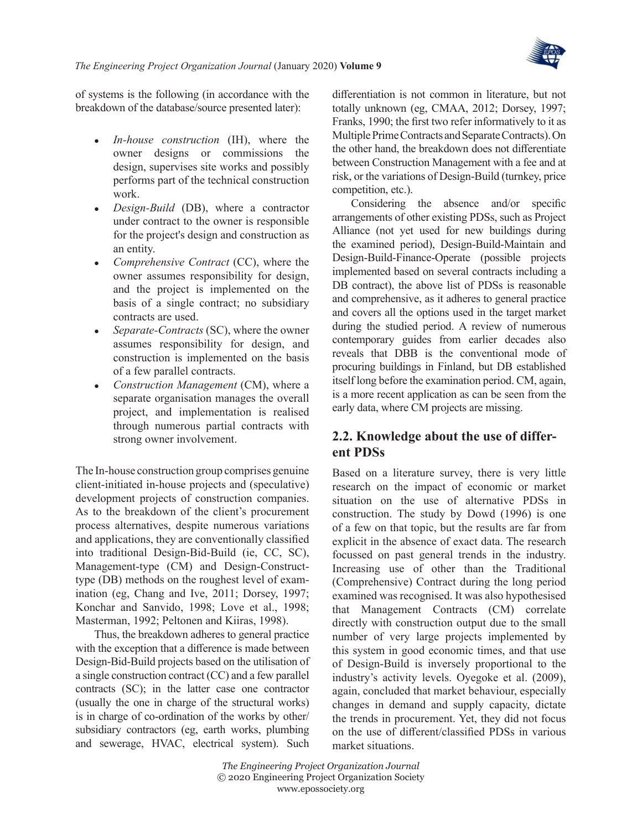

of systems is the following (in accordance with the breakdown of the database/source presented later):

- *In-house construction* (IH), where the owner designs or commissions the design, supervises site works and possibly performs part of the technical construction work.
- *Design-Build* (DB), where a contractor under contract to the owner is responsible for the project's design and construction as an entity.
- *Comprehensive Contract* (CC), where the owner assumes responsibility for design, and the project is implemented on the basis of a single contract; no subsidiary contracts are used.
- *Separate-Contracts* (SC), where the owner assumes responsibility for design, and construction is implemented on the basis of a few parallel contracts.
- <sup>z</sup> *Construction Management* (CM), where a separate organisation manages the overall project, and implementation is realised through numerous partial contracts with strong owner involvement.

The In-house construction group comprises genuine client-initiated in-house projects and (speculative) development projects of construction companies. As to the breakdown of the client's procurement process alternatives, despite numerous variations and applications, they are conventionally classified into traditional Design-Bid-Build (ie, CC, SC), Management-type (CM) and Design-Constructtype (DB) methods on the roughest level of examination (eg, [Chang and Ive, 2011](#page-20-2); [Dorsey, 1997;](#page-20-3) [Konchar and Sanvido, 1998](#page-20-4); Love et [al., 1998;](#page-21-1) [Masterman, 1992;](#page-21-2) [Peltonen and Kiiras, 1998](#page-21-3)).

Thus, the breakdown adheres to general practice with the exception that a difference is made between Design-Bid-Build projects based on the utilisation of a single construction contract (CC) and a few parallel contracts (SC); in the latter case one contractor (usually the one in charge of the structural works) is in charge of co-ordination of the works by other/ subsidiary contractors (eg, earth works, plumbing and sewerage, HVAC, electrical system). Such

differentiation is not common in literature, but not totally unknown (eg, [CMAA, 2012](#page-20-5); [Dorsey, 1997;](#page-20-3) [Franks, 1990](#page-20-6); the first two refer informatively to it as Multiple Prime Contracts and Separate Contracts). On the other hand, the breakdown does not differentiate between Construction Management with a fee and at risk, or the variations of Design-Build (turnkey, price competition, etc.).

Considering the absence and/or specific arrangements of other existing PDSs, such as Project Alliance (not yet used for new buildings during the examined period), Design-Build-Maintain and Design-Build-Finance-Operate (possible projects implemented based on several contracts including a DB contract), the above list of PDSs is reasonable and comprehensive, as it adheres to general practice and covers all the options used in the target market during the studied period. A review of numerous contemporary guides from earlier decades also reveals that DBB is the conventional mode of procuring buildings in Finland, but DB established itself long before the examination period. CM, again, is a more recent application as can be seen from the early data, where CM projects are missing.

### **2.2. Knowledge about the use of different PDSs**

Based on a literature survey, there is very little research on the impact of economic or market situation on the use of alternative PDSs in construction. The study by [Dowd \(1996\)](#page-20-7) is one of a few on that topic, but the results are far from explicit in the absence of exact data. The research focussed on past general trends in the industry. Increasing use of other than the Traditional (Comprehensive) Contract during the long period examined was recognised. It was also hypothesised that Management Contracts (CM) correlate directly with construction output due to the small number of very large projects implemented by this system in good economic times, and that use of Design-Build is inversely proportional to the industry's activity levels. [Oyegoke et](#page-21-4) al. (2009), again, concluded that market behaviour, especially changes in demand and supply capacity, dictate the trends in procurement. Yet, they did not focus on the use of different/classified PDSs in various market situations.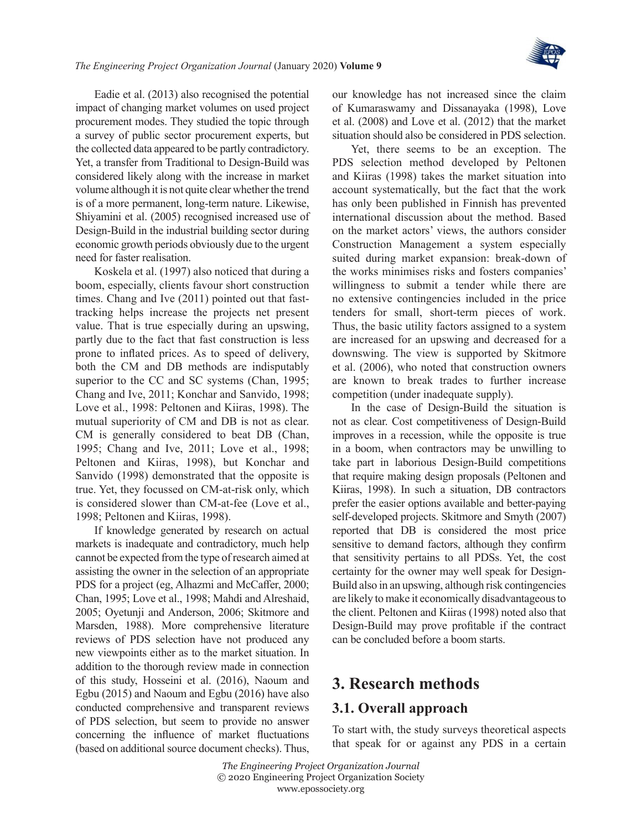

Eadie et [al. \(2013\)](#page-20-8) also recognised the potential impact of changing market volumes on used project procurement modes. They studied the topic through a survey of public sector procurement experts, but the collected data appeared to be partly contradictory. Yet, a transfer from Traditional to Design-Build was considered likely along with the increase in market volume although it is not quite clear whether the trend is of a more permanent, long-term nature. Likewise, [Shiyamini et](#page-21-5) al. (2005) recognised increased use of Design-Build in the industrial building sector during economic growth periods obviously due to the urgent need for faster realisation.

[Koskela et](#page-20-9) al. (1997) also noticed that during a boom, especially, clients favour short construction times. [Chang and Ive \(2011\)](#page-20-2) pointed out that fasttracking helps increase the projects net present value. That is true especially during an upswing, partly due to the fact that fast construction is less prone to inflated prices. As to speed of delivery, both the CM and DB methods are indisputably superior to the CC and SC systems [\(Chan, 1995;](#page-20-10) [Chang and Ive, 2011](#page-20-2); [Konchar and Sanvido, 1998;](#page-20-4) Love et [al., 1998](#page-21-1): [Peltonen and Kiiras, 1998\)](#page-21-3). The mutual superiority of CM and DB is not as clear. CM is generally considered to beat DB [\(Chan,](#page-20-10) [1995;](#page-20-10) [Chang and Ive, 2011](#page-20-2); Love et [al., 1998;](#page-21-1) [Peltonen and Kiiras, 1998](#page-21-3)), but [Konchar and](#page-20-4) [Sanvido \(1998\)](#page-20-4) demonstrated that the opposite is true. Yet, they focussed on CM-at-risk only, which is considered slower than CM-at-fee ([Love et](#page-21-1) al., [1998](#page-21-1); [Peltonen and Kiiras, 1998](#page-21-3)).

If knowledge generated by research on actual markets is inadequate and contradictory, much help cannot be expected from the type of research aimed at assisting the owner in the selection of an appropriate PDS for a project (eg, [Alhazmi and McCaffer, 2000;](#page-20-11) [Chan, 1995](#page-20-10); Love et [al., 1998;](#page-21-1) [Mahdi and Alreshaid,](#page-21-6) [2005](#page-21-6); [Oyetunji and Anderson, 2006;](#page-21-7) [Skitmore and](#page-21-8) [Marsden, 1988\)](#page-21-8). More comprehensive literature reviews of PDS selection have not produced any new viewpoints either as to the market situation. In addition to the thorough review made in connection of this study, [Hosseini et](#page-20-12) al. (2016), [Naoum and](#page-21-9)  [Egbu \(2015\)](#page-21-9) and [Naoum and Egbu \(2016\)](#page-21-10) have also conducted comprehensive and transparent reviews of PDS selection, but seem to provide no answer concerning the influence of market fluctuations (based on additional source document checks). Thus, our knowledge has not increased since the claim of [Kumaraswamy and Dissanayaka \(1998\),](#page-20-1) [Love](#page-20-0) et [al. \(2008\)](#page-20-0) and Love et [al. \(2012\)](#page-21-0) that the market situation should also be considered in PDS selection.

Yet, there seems to be an exception. The PDS selection method developed by [Peltonen](#page-21-3) [and Kiiras \(1998\)](#page-21-3) takes the market situation into account systematically, but the fact that the work has only been published in Finnish has prevented international discussion about the method. Based on the market actors' views, the authors consider Construction Management a system especially suited during market expansion: break-down of the works minimises risks and fosters companies' willingness to submit a tender while there are no extensive contingencies included in the price tenders for small, short-term pieces of work. Thus, the basic utility factors assigned to a system are increased for an upswing and decreased for a downswing. The view is supported by [Skitmore](#page-21-11) et [al. \(2006\)](#page-21-11), who noted that construction owners are known to break trades to further increase competition (under inadequate supply).

In the case of Design-Build the situation is not as clear. Cost competitiveness of Design-Build improves in a recession, while the opposite is true in a boom, when contractors may be unwilling to take part in laborious Design-Build competitions that require making design proposals [\(Peltonen and](#page-21-3) [Kiiras, 1998\)](#page-21-3). In such a situation, DB contractors prefer the easier options available and better-paying self-developed projects. [Skitmore and Smyth \(2007\)](#page-21-12) reported that DB is considered the most price sensitive to demand factors, although they confirm that sensitivity pertains to all PDSs. Yet, the cost certainty for the owner may well speak for Design-Build also in an upswing, although risk contingencies are likely to make it economically disadvantageous to the client. [Peltonen and Kiiras \(1998\)](#page-21-3) noted also that Design-Build may prove profitable if the contract can be concluded before a boom starts.

### **3. Research methods**

#### **3.1. Overall approach**

To start with, the study surveys theoretical aspects that speak for or against any PDS in a certain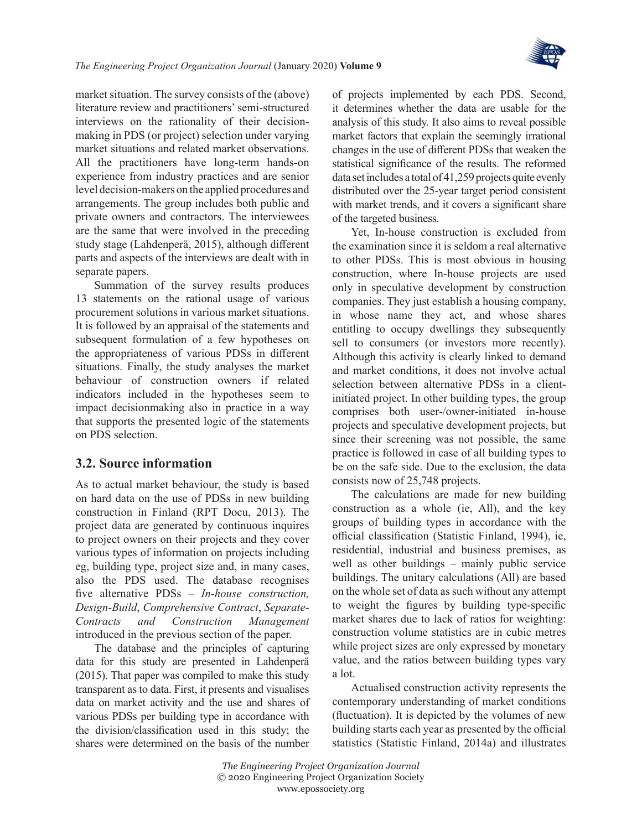

market situation. The survey consists of the (above) literature review and practitioners' semi-structured interviews on the rationality of their decisionmaking in PDS (or project) selection under varying market situations and related market observations. All the practitioners have long-term hands-on experience from industry practices and are senior level decision-makers on the applied procedures and arrangements. The group includes both public and private owners and contractors. The interviewees are the same that were involved in the preceding study stage ([Lahdenperä, 2015](#page-20-13)), although different parts and aspects of the interviews are dealt with in separate papers.

Summation of the survey results produces 13 statements on the rational usage of various procurement solutions in various market situations. It is followed by an appraisal of the statements and subsequent formulation of a few hypotheses on the appropriateness of various PDSs in different situations. Finally, the study analyses the market behaviour of construction owners if related indicators included in the hypotheses seem to impact decisionmaking also in practice in a way that supports the presented logic of the statements on PDS selection.

#### **3.2. Source information**

As to actual market behaviour, the study is based on hard data on the use of PDSs in new building construction in Finland ([RPT Docu, 2013\)](#page-21-13). The project data are generated by continuous inquires to project owners on their projects and they cover various types of information on projects including eg, building type, project size and, in many cases, also the PDS used. The database recognises five alternative PDSs – *In-house construction, Design-Build*, *Comprehensive Contract*, *Separate-Contracts and Construction Management* introduced in the previous section of the paper.

The database and the principles of capturing data for this study are presented in [Lahdenperä](#page-20-13) [\(2015\)](#page-20-13). That paper was compiled to make this study transparent as to data. First, it presents and visualises data on market activity and the use and shares of various PDSs per building type in accordance with the division/classification used in this study; the shares were determined on the basis of the number

of projects implemented by each PDS. Second, it determines whether the data are usable for the analysis of this study. It also aims to reveal possible market factors that explain the seemingly irrational changes in the use of different PDSs that weaken the statistical significance of the results. The reformed data set includes a total of 41,259 projects quite evenly distributed over the 25-year target period consistent with market trends, and it covers a significant share of the targeted business.

Yet, In-house construction is excluded from the examination since it is seldom a real alternative to other PDSs. This is most obvious in housing construction, where In-house projects are used only in speculative development by construction companies. They just establish a housing company, in whose name they act, and whose shares entitling to occupy dwellings they subsequently sell to consumers (or investors more recently). Although this activity is clearly linked to demand and market conditions, it does not involve actual selection between alternative PDSs in a clientinitiated project. In other building types, the group comprises both user-/owner-initiated in-house projects and speculative development projects, but since their screening was not possible, the same practice is followed in case of all building types to be on the safe side. Due to the exclusion, the data consists now of 25,748 projects.

The calculations are made for new building construction as a whole (ie, All), and the key groups of building types in accordance with the official classification ([Statistic Finland, 1994\)](#page-21-14), ie, residential, industrial and business premises, as well as other buildings – mainly public service buildings. The unitary calculations (All) are based on the whole set of data as such without any attempt to weight the figures by building type-specific market shares due to lack of ratios for weighting: construction volume statistics are in cubic metres while project sizes are only expressed by monetary value, and the ratios between building types vary a lot.

Actualised construction activity represents the contemporary understanding of market conditions (fluctuation). It is depicted by the volumes of new building starts each year as presented by the official statistics ([Statistic Finland, 2014a\)](#page-21-15) and illustrates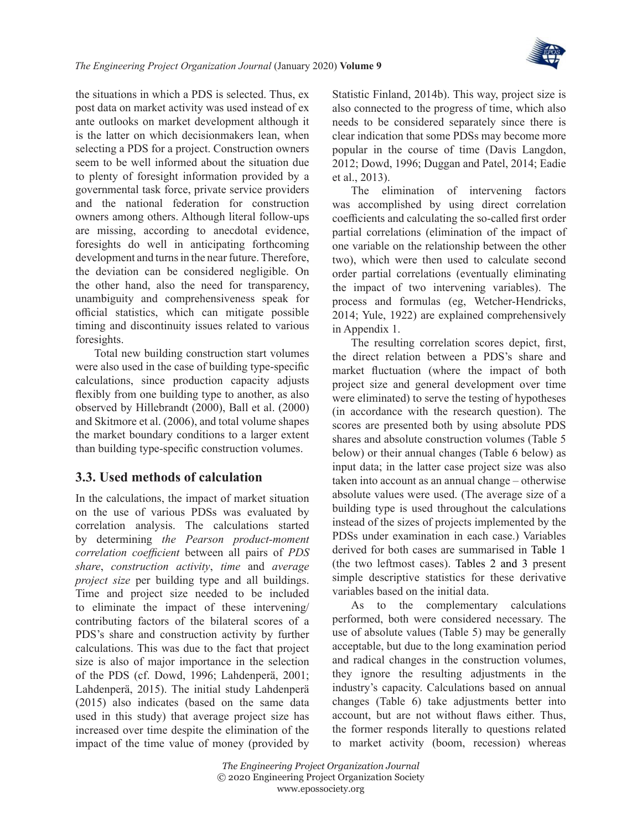

the situations in which a PDS is selected. Thus, ex post data on market activity was used instead of ex ante outlooks on market development although it is the latter on which decisionmakers lean, when selecting a PDS for a project. Construction owners seem to be well informed about the situation due to plenty of foresight information provided by a governmental task force, private service providers and the national federation for construction owners among others. Although literal follow-ups are missing, according to anecdotal evidence, foresights do well in anticipating forthcoming development and turns in the near future. Therefore, the deviation can be considered negligible. On the other hand, also the need for transparency, unambiguity and comprehensiveness speak for official statistics, which can mitigate possible timing and discontinuity issues related to various foresights.

Total new building construction start volumes were also used in the case of building type-specific calculations, since production capacity adjusts flexibly from one building type to another, as also observed by [Hillebrandt \(2000\)](#page-20-14), Ball et [al. \(2000\)](#page-20-15)  and [Skitmore et](#page-21-11) al. (2006), and total volume shapes the market boundary conditions to a larger extent than building type-specific construction volumes.

#### **3.3. Used methods of calculation**

In the calculations, the impact of market situation on the use of various PDSs was evaluated by correlation analysis. The calculations started by determining *the Pearson product-moment correlation coefficient* between all pairs of *PDS share*, *construction activity*, *time* and *average project size* per building type and all buildings. Time and project size needed to be included to eliminate the impact of these intervening/ contributing factors of the bilateral scores of a PDS's share and construction activity by further calculations. This was due to the fact that project size is also of major importance in the selection of the PDS (cf. [Dowd, 1996](#page-20-7); [Lahdenperä, 2001;](#page-20-16) [Lahdenperä, 2015\)](#page-20-13). The initial study [Lahdenperä](#page-20-13) [\(2015\)](#page-20-13) also indicates (based on the same data used in this study) that average project size has increased over time despite the elimination of the impact of the time value of money (provided by [Statistic Finland, 2014b\)](#page-21-16). This way, project size is also connected to the progress of time, which also needs to be considered separately since there is clear indication that some PDSs may become more popular in the course of time ([Davis Langdon,](#page-20-17) [2012](#page-20-17); [Dowd, 1996;](#page-20-7) [Duggan and Patel, 2014](#page-20-18); [Eadie](#page-20-8) et [al., 2013\)](#page-20-8).

The elimination of intervening factors was accomplished by using direct correlation coefficients and calculating the so-called first order partial correlations (elimination of the impact of one variable on the relationship between the other two), which were then used to calculate second order partial correlations (eventually eliminating the impact of two intervening variables). The process and formulas (eg, [Wetcher-Hendricks,](#page-21-17) [2014](#page-21-17); [Yule, 1922\)](#page-21-18) are explained comprehensively in Appendix 1.

The resulting correlation scores depict, first, the direct relation between a PDS's share and market fluctuation (where the impact of both project size and general development over time were eliminated) to serve the testing of hypotheses (in accordance with the research question). The scores are presented both by using absolute PDS shares and absolute construction volumes (Table 5 below) or their annual changes (Table 6 below) as input data; in the latter case project size was also taken into account as an annual change – otherwise absolute values were used. (The average size of a building type is used throughout the calculations instead of the sizes of projects implemented by the PDSs under examination in each case.) Variables derived for both cases are summarised in [Table](#page-6-0) 1 (the two leftmost cases). Tables [2 and 3](#page-7-0) present simple descriptive statistics for these derivative variables based on the initial data.

As to the complementary calculations performed, both were considered necessary. The use of absolute values (Table 5) may be generally acceptable, but due to the long examination period and radical changes in the construction volumes, they ignore the resulting adjustments in the industry's capacity. Calculations based on annual changes (Table 6) take adjustments better into account, but are not without flaws either. Thus, the former responds literally to questions related to market activity (boom, recession) whereas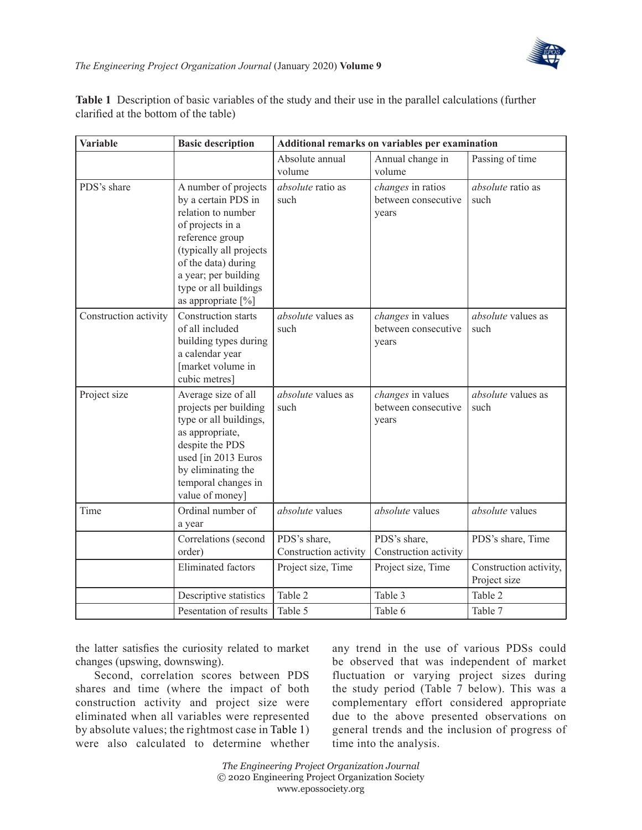

| <b>Variable</b>       | <b>Basic description</b>                                                                                                                                                                                                          |                                       | Additional remarks on variables per examination   |                                        |
|-----------------------|-----------------------------------------------------------------------------------------------------------------------------------------------------------------------------------------------------------------------------------|---------------------------------------|---------------------------------------------------|----------------------------------------|
|                       |                                                                                                                                                                                                                                   | Absolute annual<br>volume             | Annual change in<br>volume                        | Passing of time                        |
| PDS's share           | A number of projects<br>by a certain PDS in<br>relation to number<br>of projects in a<br>reference group<br>(typically all projects<br>of the data) during<br>a year; per building<br>type or all buildings<br>as appropriate [%] | absolute ratio as<br>such             | changes in ratios<br>between consecutive<br>years | absolute ratio as<br>such              |
| Construction activity | Construction starts<br>of all included<br>building types during<br>a calendar year<br>[market volume in<br>cubic metres]                                                                                                          | absolute values as<br>such            | changes in values<br>between consecutive<br>years | absolute values as<br>such             |
| Project size          | Average size of all<br>projects per building<br>type or all buildings,<br>as appropriate,<br>despite the PDS<br>used [in 2013 Euros<br>by eliminating the<br>temporal changes in<br>value of money]                               | absolute values as<br>such            | changes in values<br>between consecutive<br>years | absolute values as<br>such             |
| Time                  | Ordinal number of<br>a year                                                                                                                                                                                                       | absolute values                       | absolute values                                   | absolute values                        |
|                       | Correlations (second<br>order)                                                                                                                                                                                                    | PDS's share,<br>Construction activity | PDS's share,<br>Construction activity             | PDS's share, Time                      |
|                       | <b>Eliminated</b> factors                                                                                                                                                                                                         | Project size, Time                    | Project size, Time                                | Construction activity,<br>Project size |
|                       | Descriptive statistics                                                                                                                                                                                                            | Table 2                               | Table 3                                           | Table 2                                |
|                       | Pesentation of results                                                                                                                                                                                                            | Table 5                               | Table 6                                           | Table 7                                |

<span id="page-6-0"></span>**Table 1** Description of basic variables of the study and their use in the parallel calculations (further clarified at the bottom of the table)

the latter satisfies the curiosity related to market changes (upswing, downswing).

Second, correlation scores between PDS shares and time (where the impact of both construction activity and project size were eliminated when all variables were represented by absolute values; the rightmost case in [Table](#page-6-0) 1) were also calculated to determine whether any trend in the use of various PDSs could be observed that was independent of market fluctuation or varying project sizes during the study period (Table 7 below). This was a complementary effort considered appropriate due to the above presented observations on general trends and the inclusion of progress of time into the analysis.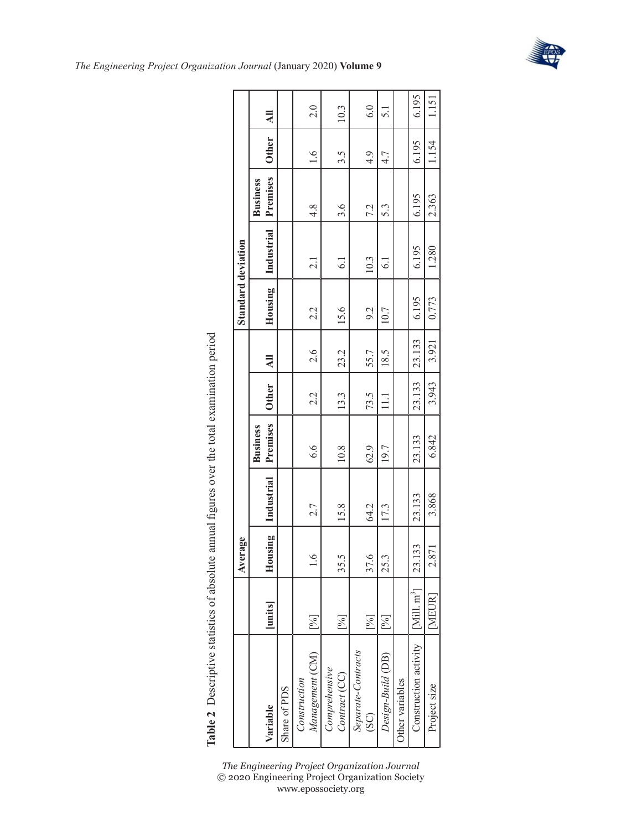|                                 |                        | verage<br>₹  |            |                             |              |                | Standard deviation |                 |                             |              |                |
|---------------------------------|------------------------|--------------|------------|-----------------------------|--------------|----------------|--------------------|-----------------|-----------------------------|--------------|----------------|
| Variable                        | [units]                | lousing<br>≕ | Industrial | Premises<br><b>Business</b> | <b>Other</b> | $\overline{a}$ | Housing            | Industrial      | Premises<br><b>Business</b> | <b>Other</b> | $\overline{M}$ |
| Share of PDS                    |                        |              |            |                             |              |                |                    |                 |                             |              |                |
| Management (CM)<br>Construction | [%]                    | $\ddot{0}$   | 2.7        | 6.6                         | 2.2          | 2.6            | 2.2                | $\overline{c}$  | $\frac{4}{3}$               | 1.6          | 2.0            |
| Comprehensive<br>Contract (CC)  | [%]                    | 35.5         | 15.8       | 10.8                        | 13.3         | 23.2           | 15.6               | 6.1             | 3.6                         | 3.5          | 10.3           |
| Separate-Contracts<br>(SC)      | $\lceil 0/6 \rceil$    | 37.6         | 64.2       | 62.9                        | 73.5         | 55.7           | 9.2                | 10.3            | 7.2                         | 4.9          | 6.0            |
| Design-Build (DB)               | [%]                    | 25.3         | 17.3       | 19.7                        | $\Xi$        | 18.5           | 10.7               | $\overline{61}$ | 5.3                         | 4.7          | 5.1            |
| Ther variables                  |                        |              |            |                             |              |                |                    |                 |                             |              |                |
| Construction activity           | $\lceil$ Mill. $m^3$ ] | 23.133       | 23.133     | 23.133                      | 23.133       | 23.133         | 6.195              | 6.195           | 6.195                       | 6.195        | 6.195          |
| Project size                    | [MEUR]                 | 2.871        | 3.868      | 6.842                       | 3.943        | 3.921          | 0.773              | 1.280           | 2.363                       | 1.154        | 1.151          |

<span id="page-7-0"></span>Table 2 Descriptive statistics of absolute annual figures over the total examination period **Table 2** Descriptive statistics of absolute annual figures over the total examination period



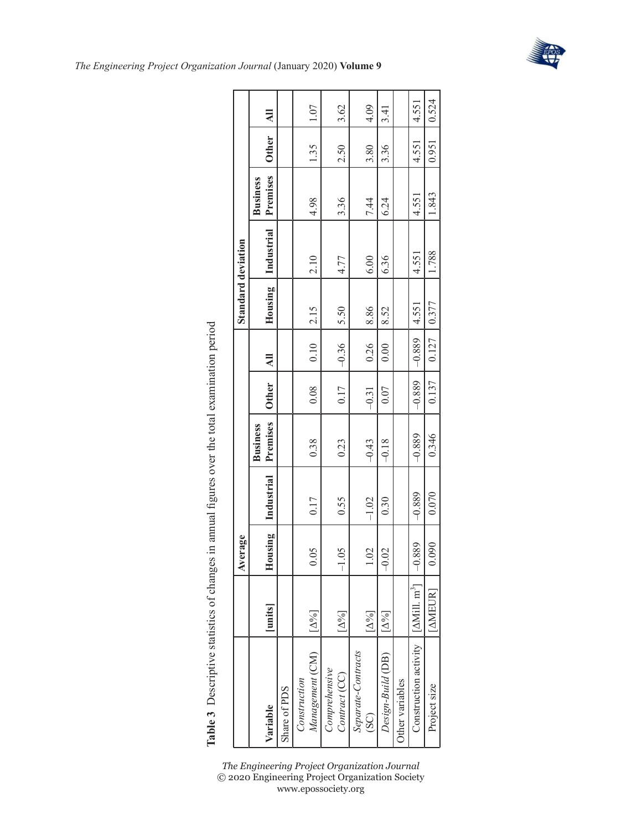|                                                |                                   | Average  |            |                             |              |                | Standard deviation |            |                             |              |                |
|------------------------------------------------|-----------------------------------|----------|------------|-----------------------------|--------------|----------------|--------------------|------------|-----------------------------|--------------|----------------|
| Variable                                       | [umits]                           | Housing  | Industrial | Premises<br><b>Business</b> | <b>Other</b> | $\overline{a}$ | Housing            | Industrial | Premises<br><b>Business</b> | <b>Other</b> | $\overline{a}$ |
| Share of PDS                                   |                                   |          |            |                             |              |                |                    |            |                             |              |                |
| Management (CM)<br>Construction                | $\Delta\%$                        | 0.05     | 0.17       | 0.38                        | 0.08         | 0.10           | 2.15               | 2.10       | 4.98                        | 1.35         | 1.07           |
| Comprehensive<br>Contract (CC)                 | $[\Delta\%]$                      | $-1.05$  | 0.55       | 0.23                        | 0.17         | $-0.36$        | 5.50               | 4.77       | 3.36                        | 2.50         | 3.62           |
| Separate-Contracts<br>$(S\mathrm{C})$          | $[\Delta\%]$                      | 1.02     | $-1.02$    | $-0.43$                     | $-0.31$      | 0.26           | 8.86               | 6.00       | 7.44                        | 3.80         | 4.09           |
| Design-Build (DB)                              | $\lbrack \Delta ^{0}/_{0}\rbrack$ | $-0.02$  | 0.30       | $-0.18$                     | 0.07         | 0.00           | 8.52               | 6.36       | 6.24                        | 3.36         | 3.41           |
| Other variables                                |                                   |          |            |                             |              |                |                    |            |                             |              |                |
| Construction activity [AMill. m <sup>3</sup> ] |                                   | $-0.889$ | $-0.889$   | $-0.889$                    | $-0.889$     | $-0.889$       | 4.551              | 4.551      | 4.551                       | 4.551        | 4.551          |
| Project size                                   | [AMEUR]                           | 0.090    | 0.070      | 0.346                       | 0.137        | 0.127          | 0.377              | 1.788      | 1.843                       | 0.951        | 0.524          |

Table 3 Descriptive statistics of changes in annual figures over the total examination period **Table 3** Descriptive statistics of changes in annual figures over the total examination period

> *The Engineering Project Organization Journal* © 2020 Engineering Project Organization Society www.epossociety.org



ſ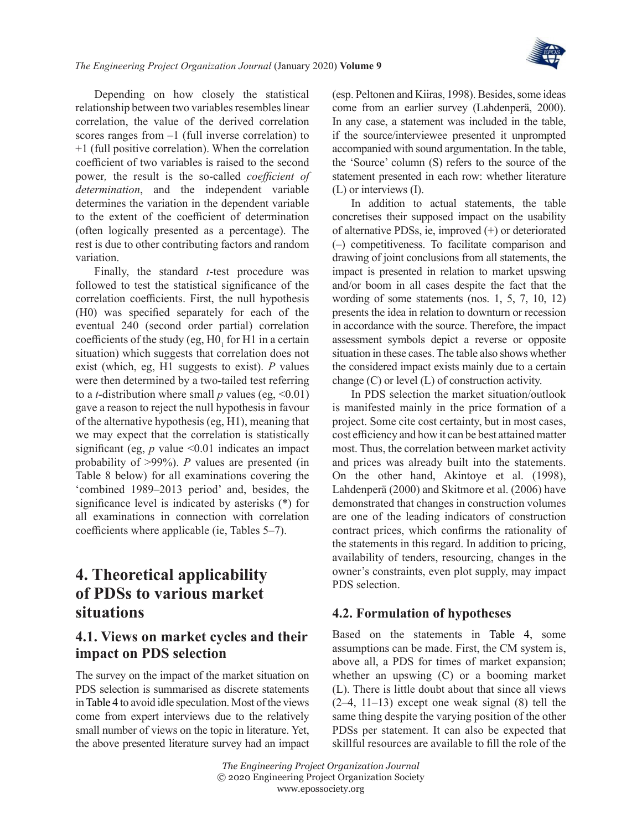

Depending on how closely the statistical relationship between two variables resembles linear correlation, the value of the derived correlation scores ranges from  $-1$  (full inverse correlation) to +1 (full positive correlation). When the correlation coefficient of two variables is raised to the second power*,* the result is the so-called *coefficient of determination*, and the independent variable determines the variation in the dependent variable to the extent of the coefficient of determination (often logically presented as a percentage). The rest is due to other contributing factors and random variation.

Finally, the standard *t*-test procedure was followed to test the statistical significance of the correlation coefficients. First, the null hypothesis (H0) was specified separately for each of the eventual 240 (second order partial) correlation coefficients of the study (eg,  $HO<sub>1</sub>$  for H1 in a certain situation) which suggests that correlation does not exist (which, eg, H1 suggests to exist). *P* values were then determined by a two-tailed test referring to a *t*-distribution where small *p* values (eg,  $\leq 0.01$ ) gave a reason to reject the null hypothesis in favour of the alternative hypothesis (eg, H1), meaning that we may expect that the correlation is statistically significant (eg,  $p$  value <0.01 indicates an impact probability of >99%). *P* values are presented (in Table 8 below) for all examinations covering the 'combined 1989–2013 period' and, besides, the significance level is indicated by asterisks (\*) for all examinations in connection with correlation coefficients where applicable (ie, Tables 5–7).

## **4. Theoretical applicability of PDSs to various market situations**

### **4.1. Views on market cycles and their impact on PDS selection**

The survey on the impact of the market situation on PDS selection is summarised as discrete statements in [Table](#page-10-0) 4 to avoid idle speculation. Most of the views come from expert interviews due to the relatively small number of views on the topic in literature. Yet, the above presented literature survey had an impact (esp. [Peltonen and Kiiras, 1998\)](#page-21-3). Besides, some ideas come from an earlier survey ([Lahdenperä, 2000\)](#page-20-19). In any case, a statement was included in the table, if the source/interviewee presented it unprompted accompanied with sound argumentation. In the table, the 'Source' column (S) refers to the source of the statement presented in each row: whether literature (L) or interviews (I).

In addition to actual statements, the table concretises their supposed impact on the usability of alternative PDSs, ie, improved (+) or deteriorated (–) competitiveness. To facilitate comparison and drawing of joint conclusions from all statements, the impact is presented in relation to market upswing and/or boom in all cases despite the fact that the wording of some statements (nos. 1, 5, 7, 10, 12) presents the idea in relation to downturn or recession in accordance with the source. Therefore, the impact assessment symbols depict a reverse or opposite situation in these cases. The table also shows whether the considered impact exists mainly due to a certain change (C) or level (L) of construction activity.

In PDS selection the market situation/outlook is manifested mainly in the price formation of a project. Some cite cost certainty, but in most cases, cost efficiency and how it can be best attained matter most. Thus, the correlation between market activity and prices was already built into the statements. On the other hand, [Akintoye et](#page-20-20) al. (1998), [Lahdenperä \(2000\)](#page-20-19) and [Skitmore et](#page-21-11) al. (2006) have demonstrated that changes in construction volumes are one of the leading indicators of construction contract prices, which confirms the rationality of the statements in this regard. In addition to pricing, availability of tenders, resourcing, changes in the owner's constraints, even plot supply, may impact PDS selection.

#### **4.2. Formulation of hypotheses**

Based on the statements in [Table](#page-10-0) 4, some assumptions can be made. First, the CM system is, above all, a PDS for times of market expansion; whether an upswing (C) or a booming market (L). There is little doubt about that since all views  $(2-4, 11-13)$  except one weak signal  $(8)$  tell the same thing despite the varying position of the other PDSs per statement. It can also be expected that skillful resources are available to fill the role of the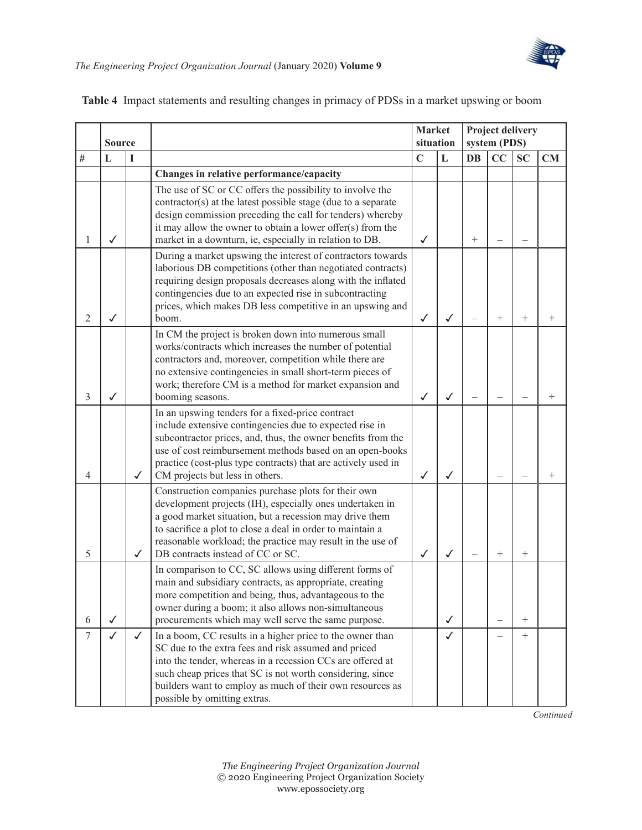

|                | <b>Source</b> |              |                                                                                                                                                                                                                                                                                                                                             | <b>Market</b><br>situation |              |        | Project delivery<br>system (PDS) |           |        |
|----------------|---------------|--------------|---------------------------------------------------------------------------------------------------------------------------------------------------------------------------------------------------------------------------------------------------------------------------------------------------------------------------------------------|----------------------------|--------------|--------|----------------------------------|-----------|--------|
| #              | L             | I            |                                                                                                                                                                                                                                                                                                                                             | $\mathbf C$                | L            | DB     | CC                               | <b>SC</b> | CM     |
|                |               |              | Changes in relative performance/capacity                                                                                                                                                                                                                                                                                                    |                            |              |        |                                  |           |        |
| 1              | $\checkmark$  |              | The use of SC or CC offers the possibility to involve the<br>contractor(s) at the latest possible stage (due to a separate<br>design commission preceding the call for tenders) whereby<br>it may allow the owner to obtain a lower offer(s) from the<br>market in a downturn, ie, especially in relation to DB.                            | ✓                          |              | $^{+}$ |                                  |           |        |
| $\overline{2}$ | ✓             |              | During a market upswing the interest of contractors towards<br>laborious DB competitions (other than negotiated contracts)<br>requiring design proposals decreases along with the inflated<br>contingencies due to an expected rise in subcontracting<br>prices, which makes DB less competitive in an upswing and<br>boom.                 | $\checkmark$               | $\checkmark$ |        | $^{+}$                           | $^{+}$    | $^{+}$ |
| 3              | ✓             |              | In CM the project is broken down into numerous small<br>works/contracts which increases the number of potential<br>contractors and, moreover, competition while there are<br>no extensive contingencies in small short-term pieces of<br>work; therefore CM is a method for market expansion and<br>booming seasons.                        | ✓                          | ✓            |        |                                  |           | $^{+}$ |
| 4              |               | $\checkmark$ | In an upswing tenders for a fixed-price contract<br>include extensive contingencies due to expected rise in<br>subcontractor prices, and, thus, the owner benefits from the<br>use of cost reimbursement methods based on an open-books<br>practice (cost-plus type contracts) that are actively used in<br>CM projects but less in others. | ✓                          | $\checkmark$ |        |                                  |           | $^{+}$ |
| 5              |               | ✓            | Construction companies purchase plots for their own<br>development projects (IH), especially ones undertaken in<br>a good market situation, but a recession may drive them<br>to sacrifice a plot to close a deal in order to maintain a<br>reasonable workload; the practice may result in the use of<br>DB contracts instead of CC or SC. | $\checkmark$               | ✓            |        | $^{+}$                           | $^{+}$    |        |
| 6              | $\checkmark$  |              | In comparison to CC, SC allows using different forms of<br>main and subsidiary contracts, as appropriate, creating<br>more competition and being, thus, advantageous to the<br>owner during a boom; it also allows non-simultaneous<br>procurements which may well serve the same purpose.                                                  |                            | ✓            |        |                                  | $^{+}$    |        |
| $\tau$         | $\checkmark$  | ✓            | In a boom, CC results in a higher price to the owner than<br>SC due to the extra fees and risk assumed and priced<br>into the tender, whereas in a recession CCs are offered at<br>such cheap prices that SC is not worth considering, since<br>builders want to employ as much of their own resources as<br>possible by omitting extras.   |                            | ✓            |        |                                  | $^{+}$    |        |

#### <span id="page-10-0"></span>**Table 4** Impact statements and resulting changes in primacy of PDSs in a market upswing or boom

*Continued*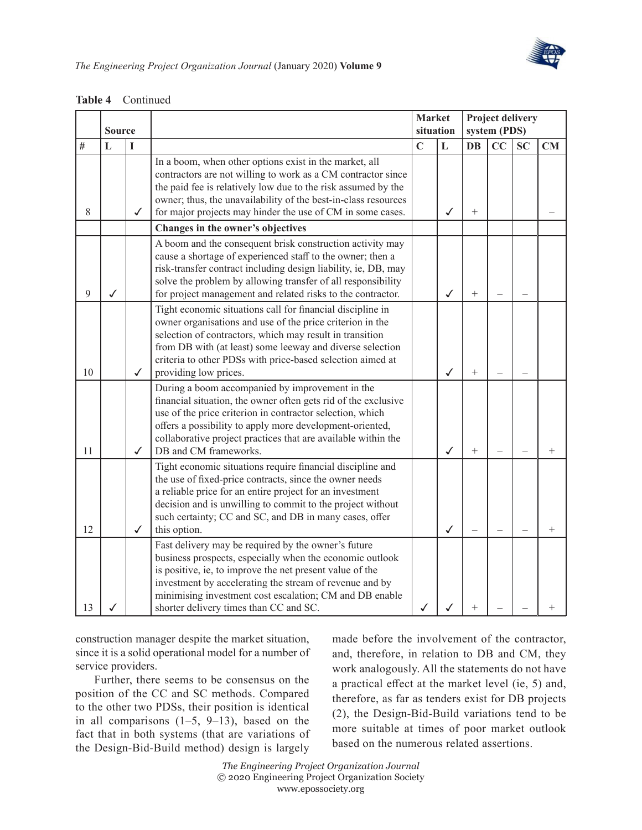

|      | <b>Source</b> |              |                                                                                                                                                                                                                                                                                                                                             | <b>Market</b><br>situation |              |           | Project delivery<br>system (PDS) |           |        |
|------|---------------|--------------|---------------------------------------------------------------------------------------------------------------------------------------------------------------------------------------------------------------------------------------------------------------------------------------------------------------------------------------------|----------------------------|--------------|-----------|----------------------------------|-----------|--------|
| $\#$ | $\mathbf L$   | I            |                                                                                                                                                                                                                                                                                                                                             | $\mathbf C$                | $\mathbf{L}$ | DB        | CC                               | <b>SC</b> | CM     |
| 8    |               | ✓            | In a boom, when other options exist in the market, all<br>contractors are not willing to work as a CM contractor since<br>the paid fee is relatively low due to the risk assumed by the<br>owner; thus, the unavailability of the best-in-class resources<br>for major projects may hinder the use of CM in some cases.                     |                            | $\checkmark$ | $^{+}$    |                                  |           |        |
|      |               |              | Changes in the owner's objectives                                                                                                                                                                                                                                                                                                           |                            |              |           |                                  |           |        |
| 9    | ✓             |              | A boom and the consequent brisk construction activity may<br>cause a shortage of experienced staff to the owner; then a<br>risk-transfer contract including design liability, ie, DB, may<br>solve the problem by allowing transfer of all responsibility<br>for project management and related risks to the contractor.                    |                            | ✓            | $^{+}$    |                                  |           |        |
| 10   |               | $\checkmark$ | Tight economic situations call for financial discipline in<br>owner organisations and use of the price criterion in the<br>selection of contractors, which may result in transition<br>from DB with (at least) some leeway and diverse selection<br>criteria to other PDSs with price-based selection aimed at<br>providing low prices.     |                            | $\checkmark$ | $\ddot{}$ |                                  |           |        |
| 11   |               | ✓            | During a boom accompanied by improvement in the<br>financial situation, the owner often gets rid of the exclusive<br>use of the price criterion in contractor selection, which<br>offers a possibility to apply more development-oriented,<br>collaborative project practices that are available within the<br>DB and CM frameworks.        |                            | ✓            | $^{+}$    |                                  |           | $^{+}$ |
| 12   |               | $\checkmark$ | Tight economic situations require financial discipline and<br>the use of fixed-price contracts, since the owner needs<br>a reliable price for an entire project for an investment<br>decision and is unwilling to commit to the project without<br>such certainty; CC and SC, and DB in many cases, offer<br>this option.                   |                            | ✓            |           |                                  |           | $^{+}$ |
| 13   |               |              | Fast delivery may be required by the owner's future<br>business prospects, especially when the economic outlook<br>is positive, ie, to improve the net present value of the<br>investment by accelerating the stream of revenue and by<br>minimising investment cost escalation; CM and DB enable<br>shorter delivery times than CC and SC. | $\checkmark$               |              | $^{+}$    |                                  |           |        |

**Table 4** Continued

construction manager despite the market situation, since it is a solid operational model for a number of service providers.

Further, there seems to be consensus on the position of the CC and SC methods. Compared to the other two PDSs, their position is identical in all comparisons  $(1-5, 9-13)$ , based on the fact that in both systems (that are variations of the Design-Bid-Build method) design is largely

made before the involvement of the contractor, and, therefore, in relation to DB and CM, they work analogously. All the statements do not have a practical effect at the market level (ie, 5) and, therefore, as far as tenders exist for DB projects (2), the Design-Bid-Build variations tend to be more suitable at times of poor market outlook based on the numerous related assertions.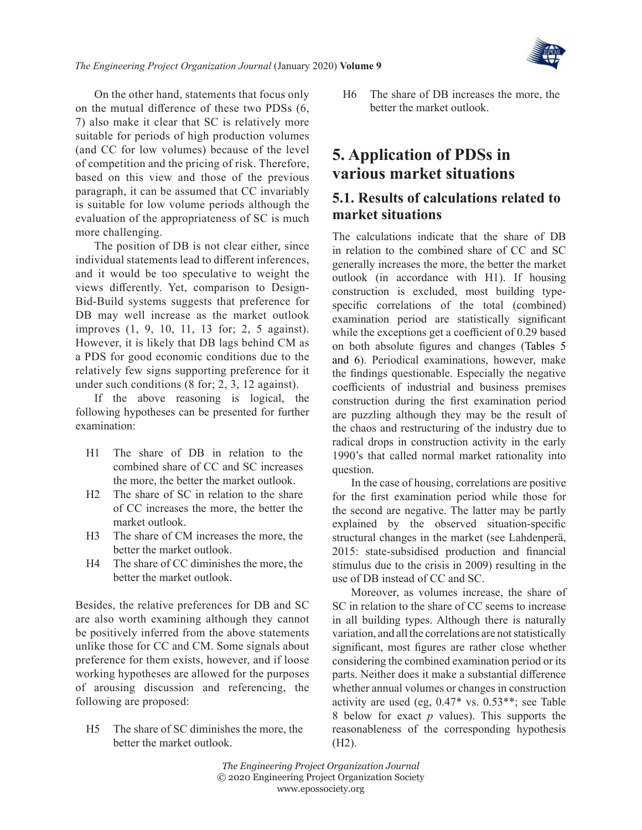

On the other hand, statements that focus only on the mutual difference of these two PDSs (6, 7) also make it clear that SC is relatively more suitable for periods of high production volumes (and CC for low volumes) because of the level of competition and the pricing of risk. Therefore, based on this view and those of the previous paragraph, it can be assumed that CC invariably is suitable for low volume periods although the evaluation of the appropriateness of SC is much more challenging.

The position of DB is not clear either, since individual statements lead to different inferences, and it would be too speculative to weight the views differently. Yet, comparison to Design-Bid-Build systems suggests that preference for DB may well increase as the market outlook improves (1, 9, 10, 11, 13 for; 2, 5 against). However, it is likely that DB lags behind CM as a PDS for good economic conditions due to the relatively few signs supporting preference for it under such conditions (8 for; 2, 3, 12 against).

If the above reasoning is logical, the following hypotheses can be presented for further examination:

- H1 The share of DB in relation to the combined share of CC and SC increases the more, the better the market outlook.
- H2 The share of SC in relation to the share of CC increases the more, the better the market outlook.
- H3 The share of CM increases the more, the better the market outlook.
- H4 The share of CC diminishes the more, the better the market outlook.

Besides, the relative preferences for DB and SC are also worth examining although they cannot be positively inferred from the above statements unlike those for CC and CM. Some signals about preference for them exists, however, and if loose working hypotheses are allowed for the purposes of arousing discussion and referencing, the following are proposed:

H5 The share of SC diminishes the more, the better the market outlook.

H6 The share of DB increases the more, the better the market outlook.

### **5. Application of PDSs in various market situations**

#### **5.1. Results of calculations related to market situations**

The calculations indicate that the share of DB in relation to the combined share of CC and SC generally increases the more, the better the market outlook (in accordance with H1). If housing construction is excluded, most building typespecific correlations of the total (combined) examination period are statistically significant while the exceptions get a coefficient of 0.29 based on both absolute figures and changes ([Tables](#page-13-0) 5 [and 6](#page-13-0)). Periodical examinations, however, make the findings questionable. Especially the negative coefficients of industrial and business premises construction during the first examination period are puzzling although they may be the result of the chaos and restructuring of the industry due to radical drops in construction activity in the early 1990's that called normal market rationality into question.

In the case of housing, correlations are positive for the first examination period while those for the second are negative. The latter may be partly explained by the observed situation-specific structural changes in the market (see [Lahdenperä,](#page-20-13) [2015](#page-20-13): state-subsidised production and financial stimulus due to the crisis in 2009) resulting in the use of DB instead of CC and SC.

Moreover, as volumes increase, the share of SC in relation to the share of CC seems to increase in all building types. Although there is naturally variation, and all the correlations are not statistically significant, most figures are rather close whether considering the combined examination period or its parts. Neither does it make a substantial difference whether annual volumes or changes in construction activity are used (eg, 0.47\* vs. 0.53\*\*; see Table 8 below for exact *p* values). This supports the reasonableness of the corresponding hypothesis (H2).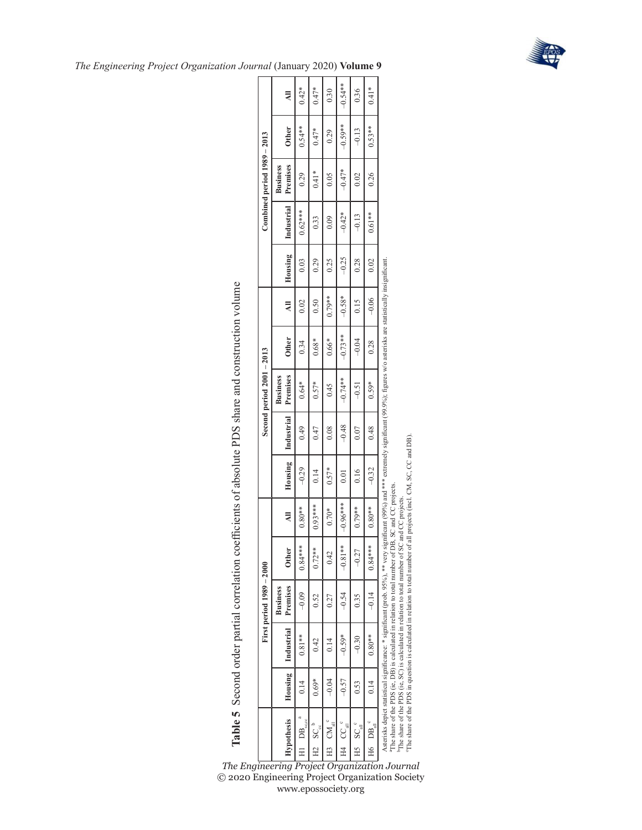

| The Engineering Project Organization Journal (January 2020) Volume 9 |  |
|----------------------------------------------------------------------|--|
|----------------------------------------------------------------------|--|

**Table 5** Second order partial correlation coefficients of absolute PDS share and construction volume

Table 5 Second order partial correlation coefficients of absolute PDS share and construction volume

|                                         |           |            | First period 1989 - 2000                                                                                                                                                                                                                                                                                                                                                                                                                                                                                                      |              |            |                |            | Second period $2001 - 2013$ |              |                |         |            | Combined period $1989 - 2013$ |              |           |
|-----------------------------------------|-----------|------------|-------------------------------------------------------------------------------------------------------------------------------------------------------------------------------------------------------------------------------------------------------------------------------------------------------------------------------------------------------------------------------------------------------------------------------------------------------------------------------------------------------------------------------|--------------|------------|----------------|------------|-----------------------------|--------------|----------------|---------|------------|-------------------------------|--------------|-----------|
| <b>Hypothesis</b>                       | Housing 1 | Industrial | Premises<br><b>Business</b>                                                                                                                                                                                                                                                                                                                                                                                                                                                                                                   | <b>Other</b> | ₹          | <b>Housing</b> | Industrial | Premises<br><b>Business</b> | <b>Other</b> | $\overline{a}$ | Housing | Industrial | Premises<br><b>Business</b>   | <b>Other</b> | ㅋ         |
| $\frac{\text{DB}_{\text{sc},\infty}}{}$ | 0.14      | $0.81**$   | $-0.09$                                                                                                                                                                                                                                                                                                                                                                                                                                                                                                                       | $0.84***$    | $0.80**$   | $-0.29$        | 0.49       | $0.64*$                     | 0.34         | 0.02           | 0.03    | $0.62***$  | 0.29                          | $0.54**$     | $0.42*$   |
| $H2$ $SC_{\infty}^{\circ}$              | $0.69*$   | 0.42       | 0.52                                                                                                                                                                                                                                                                                                                                                                                                                                                                                                                          | $0.72***$    | $0.93***$  | 0.14           | 0.47       | $0.57*$                     | $0.68*$      | 0.50           | 0.29    | 0.33       | $0.41*$                       | $0.47*$      | $0.47*$   |
| $\left $ H3 CM <sub>all</sub>           | $-0.04$   | 0.14       | 0.27                                                                                                                                                                                                                                                                                                                                                                                                                                                                                                                          | 0.42         | $0.70*$    | $0.57*$        | 0.08       | 0.45                        | $0.66*$      | $0.79**$       | 0.25    | 0.09       | 0.05                          | 0.29         | 0.30      |
| $H4$ $CC_{all}^{\circ}$                 | $-0.57$   | $-0.59*$   | $-0.54$                                                                                                                                                                                                                                                                                                                                                                                                                                                                                                                       | $-0.81**$    | $-0.96***$ | 0.01           | $-0.48$    | $-0.74**$                   | $-0.73**$    | $-0.58*$       | $-0.25$ | $-0.42*$   | $-0.47*$                      | $-0.59**$    | $-0.54**$ |
| $HS$ SC $_{\text{all}}^{\text{c}}$      | 0.53      | $-0.30$    | 0.35                                                                                                                                                                                                                                                                                                                                                                                                                                                                                                                          | $-0.27$      | $0.79**$   | 0.16           | 0.07       | $-0.51$                     | $-0.04$      | 0.15           | 0.28    | $-0.13$    | 0.02                          | $-0.13$      | 0.36      |
| $H6$ DB $_{\text{all}}^{\circ}$         | 0.14      | $0.80**$   | $-0.14$                                                                                                                                                                                                                                                                                                                                                                                                                                                                                                                       | $0.84***$    | $0.80**$   | $-0.32$        | 0.48       | $0.59*$                     | 0.28         | $-0.06$        | 0.02    | $0.61**$   | 0.26                          | $0.53**$     | $0.41*$   |
|                                         |           |            | Asterisks depict statistical significance: * significant (prob. 95%), ** very significant (99%) and *** extremely significant (99.9%), figures w/o asterisks are statistically insignificant<br>The share of the PDS in question is calculated in relation to total number of all projects (incl. CM, SC, CC and DB).<br>The share of the PDS (ie, DB) is calculated in relation to total number of DB, SC and CC projects.<br>The share of the PDS (ie, SC) is calculated in relation to total number of SC and CC projects. |              |            |                |            |                             |              |                |         |            |                               |              |           |

<span id="page-13-0"></span>*The Engineering Project Organization Journal* © 2020 Engineering Project Organization Society www.epossociety.org cThe share of the PDS in question is calculated in relation to total number of all projects (incl. CM, SC, CC and DB).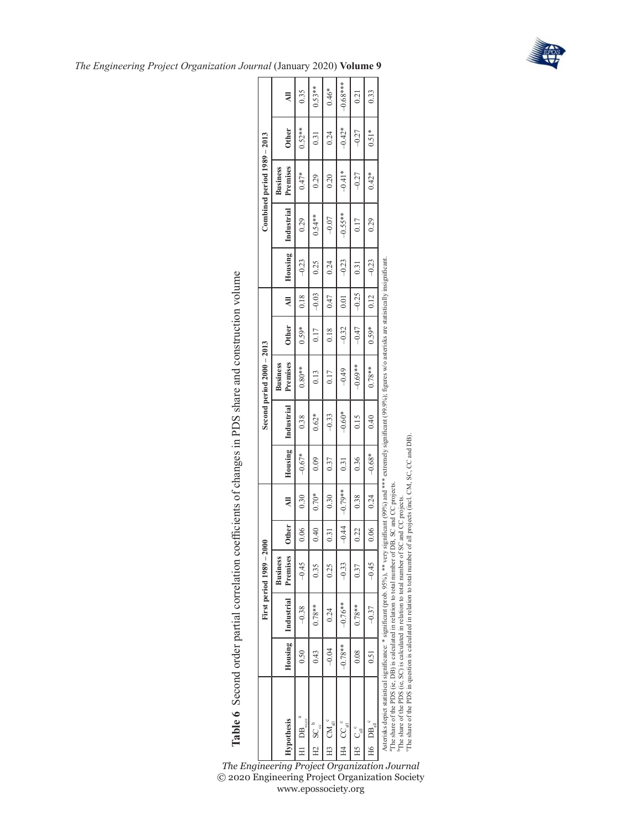

| The Engineering Project Organization Journal (January 2020) Volume 9 |  |
|----------------------------------------------------------------------|--|
|----------------------------------------------------------------------|--|

|                                                                                                                                                                                                                                                                                                                                                                                                                                                                                                                                                                              |                      |            | First period 1989 - 2000    |         |           |          |            | Second period 2000 - 2013 |              |         |         |            | Combined period $1989 - 2013$ |                   |            |
|------------------------------------------------------------------------------------------------------------------------------------------------------------------------------------------------------------------------------------------------------------------------------------------------------------------------------------------------------------------------------------------------------------------------------------------------------------------------------------------------------------------------------------------------------------------------------|----------------------|------------|-----------------------------|---------|-----------|----------|------------|---------------------------|--------------|---------|---------|------------|-------------------------------|-------------------|------------|
|                                                                                                                                                                                                                                                                                                                                                                                                                                                                                                                                                                              |                      | Industrial | Premises<br><b>Business</b> | Other   | ₹         |          | Industrial | <b>Business</b>           |              | ₹       |         |            | <b>Business</b>               | <b>Other</b>      | ₹          |
| <b>Hypothesis</b><br>Ξ                                                                                                                                                                                                                                                                                                                                                                                                                                                                                                                                                       | Housing <sup>1</sup> |            |                             |         |           | Housing  |            | Premises<br>$0.80**$      | <b>Other</b> |         | Housing | Industrial | Premises                      | $0.52**$          |            |
| DB                                                                                                                                                                                                                                                                                                                                                                                                                                                                                                                                                                           | 0.50                 | $-0.38$    | $-0.45$                     | 0.06    | 0.30      | $-0.67*$ | 0.38       |                           | $0.59*$      | 0.18    | $-0.23$ | 0.29       | $0.47*$                       |                   | 0.35       |
| $SC_{\infty}^{\circ}$<br>E.                                                                                                                                                                                                                                                                                                                                                                                                                                                                                                                                                  | 0.43                 | $0.78**$   | 0.35                        | 0.40    | $0.70*$   | 0.09     | $0.62*$    | 0.13                      | 0.17         | $-0.03$ | 0.25    | $0.54**$   | 0.29                          | $\overline{0.31}$ | $0.53**$   |
| $CM$ <sup>c</sup><br>H3                                                                                                                                                                                                                                                                                                                                                                                                                                                                                                                                                      | $-0.04$              | 0.24       | 0.25                        | 0.31    | 0.30      | 0.37     | $-0.33$    | 0.17                      | 0.18         | 0.47    | 0.24    | $-0.07$    | 0.20                          | 0.24              | $0.46*$    |
| $\text{CC}_{\text{all}}^{\quad \text{c}}$<br>$H_4$                                                                                                                                                                                                                                                                                                                                                                                                                                                                                                                           | $-0.78**$            | $-0.76**$  | $-0.33$                     | $-0.44$ | $-0.79**$ | 0.31     | $-0.60*$   | $-0.49$                   | $-0.32$      | 0.01    | $-0.23$ | $-0.55**$  | $-0.41*$                      | $-0.42*$          | $-0.68***$ |
| $C_{\text{all}}^{\circ}$<br>Н5                                                                                                                                                                                                                                                                                                                                                                                                                                                                                                                                               | 0.08                 | $0.78**$   | 0.37                        | 0.22    | 0.38      | 0.36     | 0.15       | $-0.69**$                 | $-0.47$      | $-0.25$ | 0.31    | 0.17       | $-0.27$                       | $-0.27$           | 0.21       |
| $\mathbf{DB}_{\mathrm{all}}$ $^{\mathrm{c}}$<br>H6                                                                                                                                                                                                                                                                                                                                                                                                                                                                                                                           | 0.51                 | $-0.37$    | $-0.45$                     | 0.06    | 0.24      | $-0.68*$ | 0.40       | $0.78**$                  | $0.59*$      | 0.12    | $-0.23$ | 0.29       | $0.42*$                       | $0.51*$           | 0.33       |
| Asterisks depict statistical significance: * significant (prob. 95%), ** very significant (99%) and *** extremely significant (99.9%); figures w/o asterisks are statistically insignificant<br>The share of the PDS in question is calculated in relation to total number of all projects (incl. CM, SC, CC and DB).<br>The share of the PDS (ie, DB) is calculated in relation to total number of DB, SC and CC projects.<br>The share of the PDS (ie, SC) is calculated in relation to total number of SC and CC projects<br>The Engineering Project Organization Journal |                      |            |                             |         |           |          |            |                           |              |         |         |            |                               |                   |            |

<span id="page-14-0"></span>© 2020 Engineering Project Organization Society www.epossociety.org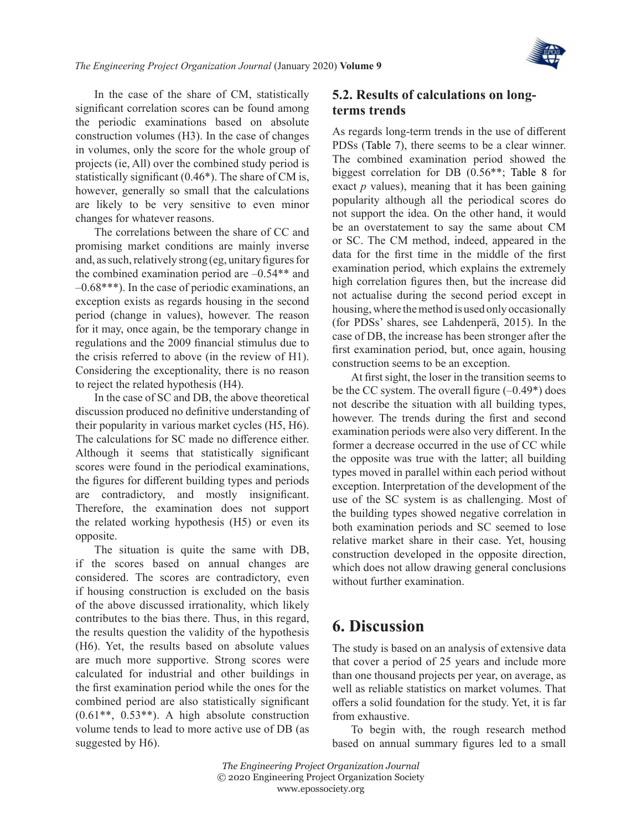

In the case of the share of CM, statistically significant correlation scores can be found among the periodic examinations based on absolute construction volumes (H3). In the case of changes in volumes, only the score for the whole group of projects (ie, All) over the combined study period is statistically significant (0.46\*). The share of CM is, however, generally so small that the calculations are likely to be very sensitive to even minor changes for whatever reasons.

The correlations between the share of CC and promising market conditions are mainly inverse and, as such, relatively strong (eg, unitary figures for the combined examination period are –0.54\*\* and –0.68\*\*\*). In the case of periodic examinations, an exception exists as regards housing in the second period (change in values), however. The reason for it may, once again, be the temporary change in regulations and the 2009 financial stimulus due to the crisis referred to above (in the review of H1). Considering the exceptionality, there is no reason to reject the related hypothesis (H4).

In the case of SC and DB, the above theoretical discussion produced no definitive understanding of their popularity in various market cycles (H5, H6). The calculations for SC made no difference either. Although it seems that statistically significant scores were found in the periodical examinations, the figures for different building types and periods are contradictory, and mostly insignificant. Therefore, the examination does not support the related working hypothesis (H5) or even its opposite.

The situation is quite the same with DB, if the scores based on annual changes are considered. The scores are contradictory, even if housing construction is excluded on the basis of the above discussed irrationality, which likely contributes to the bias there. Thus, in this regard, the results question the validity of the hypothesis (H6). Yet, the results based on absolute values are much more supportive. Strong scores were calculated for industrial and other buildings in the first examination period while the ones for the combined period are also statistically significant  $(0.61**, 0.53**)$ . A high absolute construction volume tends to lead to more active use of DB (as suggested by H6).

### **5.2. Results of calculations on longterms trends**

As regards long-term trends in the use of different PDSs ([Table](#page-16-0) 7), there seems to be a clear winner. The combined examination period showed the biggest correlation for DB (0.56\*\*; [Table](#page-17-0) 8 for exact *p* values), meaning that it has been gaining popularity although all the periodical scores do not support the idea. On the other hand, it would be an overstatement to say the same about CM or SC. The CM method, indeed, appeared in the data for the first time in the middle of the first examination period, which explains the extremely high correlation figures then, but the increase did not actualise during the second period except in housing, where the method is used only occasionally (for PDSs' shares, see [Lahdenperä, 2015\)](#page-20-13). In the case of DB, the increase has been stronger after the first examination period, but, once again, housing construction seems to be an exception.

At first sight, the loser in the transition seems to be the CC system. The overall figure  $(-0.49^*)$  does not describe the situation with all building types, however. The trends during the first and second examination periods were also very different. In the former a decrease occurred in the use of CC while the opposite was true with the latter; all building types moved in parallel within each period without exception. Interpretation of the development of the use of the SC system is as challenging. Most of the building types showed negative correlation in both examination periods and SC seemed to lose relative market share in their case. Yet, housing construction developed in the opposite direction, which does not allow drawing general conclusions without further examination.

### **6. Discussion**

The study is based on an analysis of extensive data that cover a period of 25 years and include more than one thousand projects per year, on average, as well as reliable statistics on market volumes. That offers a solid foundation for the study. Yet, it is far from exhaustive.

To begin with, the rough research method based on annual summary figures led to a small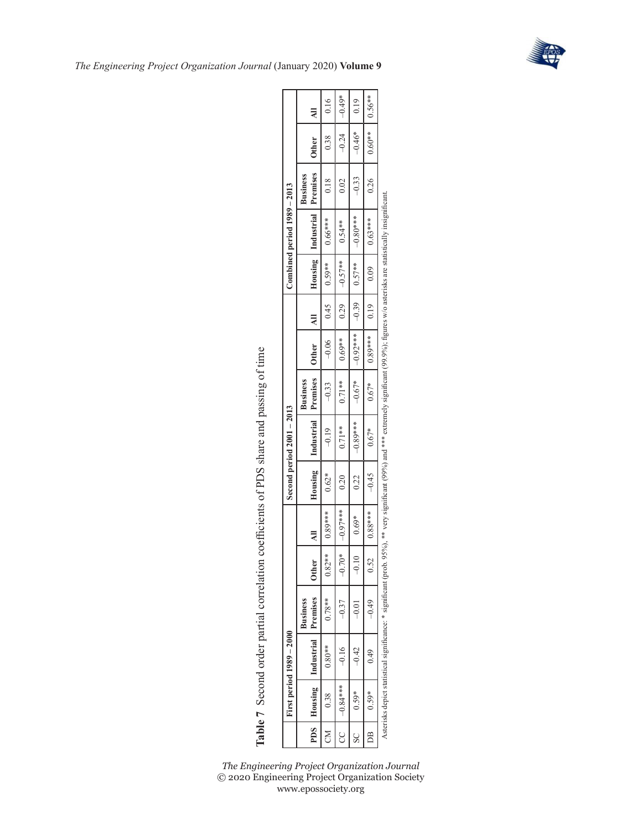

|     |              | First period $1989 - 2000$      |                 |              |                |         | Second period $2001 - 2013$ |                 |                    |                |                | Combined period 1989 - 2013 |                             |                   |                |
|-----|--------------|---------------------------------|-----------------|--------------|----------------|---------|-----------------------------|-----------------|--------------------|----------------|----------------|-----------------------------|-----------------------------|-------------------|----------------|
| PDS |              | Housing   Industrial   Premises | <b>Business</b> | <b>Other</b> | $\overline{a}$ | Housing | Industrial Premises         | <b>Business</b> | <b>Other</b>       | $\overline{a}$ |                | Housing Industrial          | Premises<br><b>Business</b> | <b>Other</b>      | $\overline{a}$ |
| CM  | 0.38         | $0.80**$                        | $0.78**$        | $0.82***$    | $0.89***$      | $0.62*$ | $-0.19$                     | $-0.33$         | $-0.06$ 1          | 0.45           | $1.59***$      | $0.66***$                   | 0.18                        | 0.38              | 0.16           |
| CC  | $-0.84***$ 1 | $-0.16$                         | $-0.37$         | $-0.70*$     | $-0.97***$     | 0.20    | $0.71**$                    | $0.71***$       | $0.69***$ 1        | $-0.29$ $+$    | $1 -0.57***$ 1 | $0.54***$                   | 0.02                        | $-0.24$           | $-0.49*$       |
| SC  | $0.59*$      | $-0.42$                         | $-0.01$         |              | $0.69*$        | 0.22    | $-0.89***$                  |                 | $-0.67*$ $-0.92**$ |                |                | $-0.80***$                  | $-0.33$                     | $-0.46*$          | 0.19           |
| DB. | $0.59*$      | 64.0                            | $-0.49$         | 0.52         | $0.88***$      | $-0.45$ | $0.67*$                     | $0.67*$         | $10.89***$         | 0.19           | 0.09           | $0.63***$                   | 0.26                        | $0.60**$   0.56** |                |
|     |              |                                 |                 |              |                |         |                             |                 |                    |                |                |                             |                             |                   |                |

Asterisks depict statistical significance: \* significant (prob. 95%), \*\* very significant (99%) and \*\*\* extremely significant (99.9%); figures w/o asterisks are statistically insignificant.

Asterisks depict statistical significance: \* significant (prob. 95%), \*\* very significant (99%) and \*\*\* extremely significant (99.9%); figures w/o asterisks are statistically insignificant.

Table 7 Second order partial correlation coefficients of PDS share and passing of time **Table 7** Second order partial correlation coefficients of PDS share and passing of time

<span id="page-16-0"></span>*The Engineering Project Organization Journal* © 2020 Engineering Project Organization Society www.epossociety.org

 $\Box$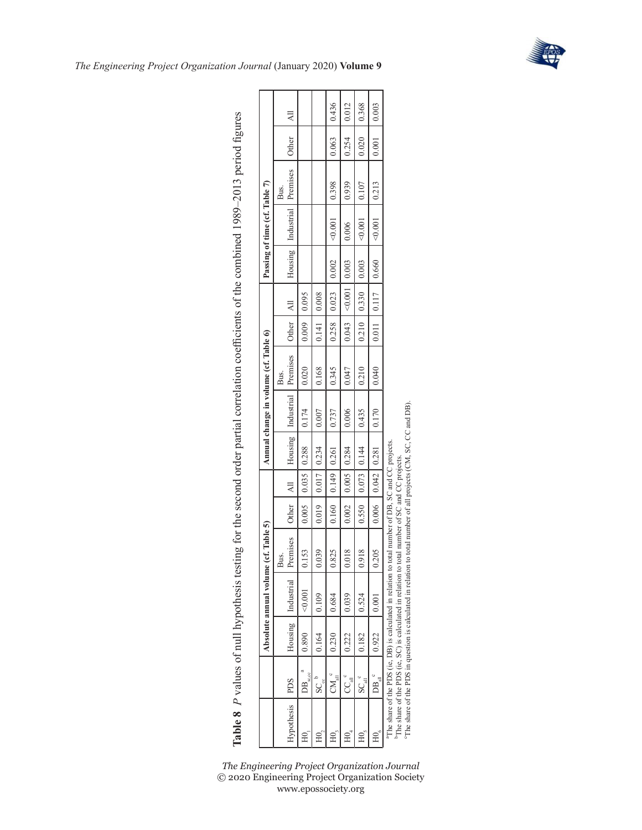

|                |                                                 |                                                                          | Absolute annual volume ( | cf. Table 5)    |              |                                                                                                |                                 | Annual change in volume (cf. Table 6) |               |  | Passing of time (cf. Table 7)              |                                     |                                                                     |          |
|----------------|-------------------------------------------------|--------------------------------------------------------------------------|--------------------------|-----------------|--------------|------------------------------------------------------------------------------------------------|---------------------------------|---------------------------------------|---------------|--|--------------------------------------------|-------------------------------------|---------------------------------------------------------------------|----------|
| Hypothesis PDS |                                                 |                                                                          | Housing Industrial       | Premises<br>μs. | <b>Other</b> |                                                                                                | All Housing Industrial Premises | Bus.                                  | Other   All   |  |                                            | Housing Industrial Premises<br>Bus. | <b>Other</b>                                                        | $\equiv$ |
|                | $\overline{\text{DB}}_{\text{s},\text{cc}}^{a}$ | $\begin{vmatrix} 0.890 & 0.001 \end{vmatrix}$                            |                          | 153             |              | $0.005$   0.035   0.288   0.174                                                                |                                 | 0.020                                 | $0.009$ 0.095 |  |                                            |                                     |                                                                     |          |
|                | $SC_{\infty}^{\ b}$                             | 0.164 0.109                                                              |                          | 039             |              | $0.019$ $0.017$ $0.234$ $0.007$                                                                |                                 | 0.168                                 | $0.141$ 0.008 |  |                                            |                                     |                                                                     |          |
|                |                                                 | $CM_{all}^{\circ}$ 0.230 0.684                                           |                          | 0.825           |              | $\begin{array}{ c c c c c c c c c } \hline 0.160 & 0.149 & 0.261 & 0.737 \ \hline \end{array}$ |                                 | 0.345                                 |               |  | $0.258$   0.023   0.002 <0.001 0.398       |                                     | 0.063   0.436                                                       |          |
| H0             |                                                 | $\begin{array}{ c c c c c } \hline 0.222 & & 0.039 \ \hline \end{array}$ |                          | $\frac{8}{2}$   |              | $0.002$   0.005   0.284   0.006                                                                |                                 | 0.047                                 |               |  | $0.043$ $ $ <0.001   0.003   0.006   0.939 |                                     | $\begin{array}{ c c c c c c c c } \hline 0.254 & 0.012 \end{array}$ |          |

89cc0| 0.2010| 1.0010| 1.0010| 6.0210| 0.070| 0.1210| 9.5410| 44110| 6.1210| 0.9510| 8.100| 0.8110| 9.3110| 9.91<br>9.520 0.2010| 1.0010| 0.0210| 0.0210| 0.1210| 0.0210| 0.44110| 6.1210| 0.9510| 8.100| 0.3710| 9.3710| 9.7310| 5001 1001 51Z20 10010> 0.9910 L1110 10101 0.0110 10210 10210 1000 0.001 10000 10010 1<br>0.000 10010 100105 0.9910 L1110 1010 0.0110 0.2110 10210 9000 0.000 10200 10200 10

0.435  $0.170\,$ 

 $0.144$ 0.281

0.550 0.006

0.918  $0.205$ 

0.524  $0.001$ 

0.182 0.922

 $\text{SC}$   $_{\text{all}}^{\text{c}}$  $DB$ 

<span id="page-17-0"></span> $H0<sub>s</sub>$  $H_0$ 

 $0.042$  $0.073$ 

0.368  $0.003$ 

 $0.020$  $0.001\,$ 

 $0.107\,$ 0.213

 $0.001$  $0.001$ 

0.003 0.660

0.330 0.117

0.210 0.011

 $0.210$  $0.040$ 

> aThe share of the PDS (ie, DB) is calculated in relation to total number of DB, SC and CC projects. bThe share of the PDS (ie, SC) is calculated in relation to total number of SC and CC projects.

"The share of the PDS (ie, DB) is calculated in relation to total number of DB, SC and CC projects.<br><sup>1</sup>The share of the PDS (ie, SC) is calculated in relation to total number of SC and CC projects.

The share of the PDS in question is calculated in relation to total number of all projects (CM, SC, CC and DB).

"The share of the PDS in question is calculated in relation to total number of all projects (CM, SC, CC and DB).

Table 8 P values of null hypothesis testing for the second order partial correlation coefficients of the combined 1989-2013 period figures **Table 8** *P* values of null hypothesis testing for the second order partial correlation coefficients of the combined 1989–2013 period figures

*The Engineering Project Organization Journal* (January 2020) **Volume 9**

 $\Gamma$ ℸ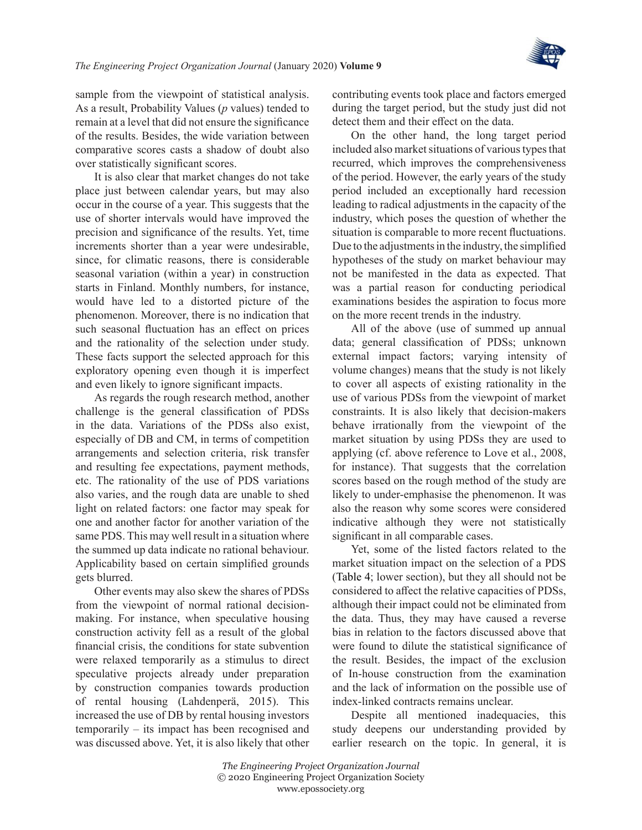

sample from the viewpoint of statistical analysis. As a result, Probability Values (*p* values) tended to remain at a level that did not ensure the significance of the results. Besides, the wide variation between comparative scores casts a shadow of doubt also over statistically significant scores.

It is also clear that market changes do not take place just between calendar years, but may also occur in the course of a year. This suggests that the use of shorter intervals would have improved the precision and significance of the results. Yet, time increments shorter than a year were undesirable, since, for climatic reasons, there is considerable seasonal variation (within a year) in construction starts in Finland. Monthly numbers, for instance, would have led to a distorted picture of the phenomenon. Moreover, there is no indication that such seasonal fluctuation has an effect on prices and the rationality of the selection under study. These facts support the selected approach for this exploratory opening even though it is imperfect and even likely to ignore significant impacts.

As regards the rough research method, another challenge is the general classification of PDSs in the data. Variations of the PDSs also exist, especially of DB and CM, in terms of competition arrangements and selection criteria, risk transfer and resulting fee expectations, payment methods, etc. The rationality of the use of PDS variations also varies, and the rough data are unable to shed light on related factors: one factor may speak for one and another factor for another variation of the same PDS. This may well result in a situation where the summed up data indicate no rational behaviour. Applicability based on certain simplified grounds gets blurred.

Other events may also skew the shares of PDSs from the viewpoint of normal rational decisionmaking. For instance, when speculative housing construction activity fell as a result of the global financial crisis, the conditions for state subvention were relaxed temporarily as a stimulus to direct speculative projects already under preparation by construction companies towards production of rental housing [\(Lahdenperä, 2015\)](#page-20-13). This increased the use of DB by rental housing investors temporarily – its impact has been recognised and was discussed above. Yet, it is also likely that other

contributing events took place and factors emerged during the target period, but the study just did not detect them and their effect on the data.

On the other hand, the long target period included also market situations of various types that recurred, which improves the comprehensiveness of the period. However, the early years of the study period included an exceptionally hard recession leading to radical adjustments in the capacity of the industry, which poses the question of whether the situation is comparable to more recent fluctuations. Due to the adjustments in the industry, the simplified hypotheses of the study on market behaviour may not be manifested in the data as expected. That was a partial reason for conducting periodical examinations besides the aspiration to focus more on the more recent trends in the industry.

All of the above (use of summed up annual data; general classification of PDSs; unknown external impact factors; varying intensity of volume changes) means that the study is not likely to cover all aspects of existing rationality in the use of various PDSs from the viewpoint of market constraints. It is also likely that decision-makers behave irrationally from the viewpoint of the market situation by using PDSs they are used to applying (cf. above reference to Love et [al., 2008](#page-20-0), for instance). That suggests that the correlation scores based on the rough method of the study are likely to under-emphasise the phenomenon. It was also the reason why some scores were considered indicative although they were not statistically significant in all comparable cases.

Yet, some of the listed factors related to the market situation impact on the selection of a PDS ([Table](#page-10-0) 4; lower section), but they all should not be considered to affect the relative capacities of PDSs, although their impact could not be eliminated from the data. Thus, they may have caused a reverse bias in relation to the factors discussed above that were found to dilute the statistical significance of the result. Besides, the impact of the exclusion of In-house construction from the examination and the lack of information on the possible use of index-linked contracts remains unclear.

Despite all mentioned inadequacies, this study deepens our understanding provided by earlier research on the topic. In general, it is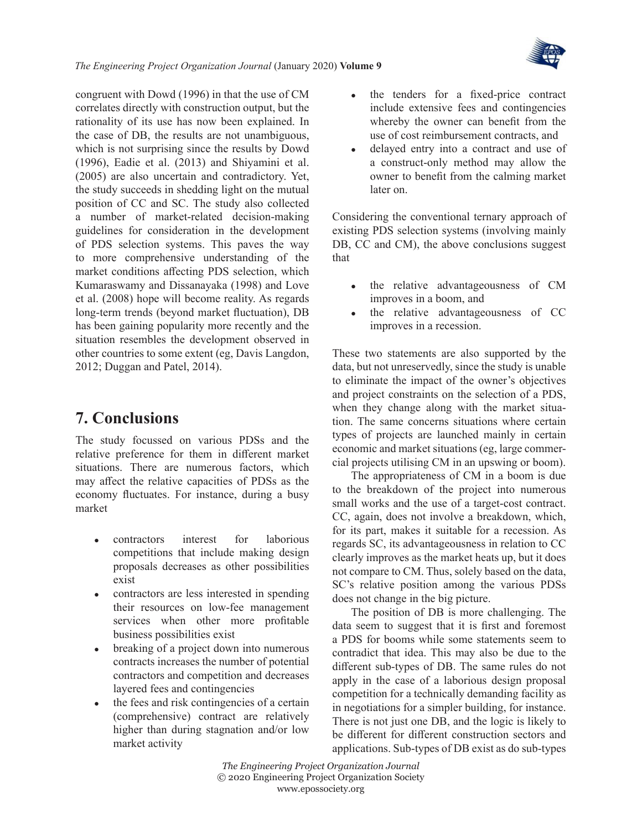

*The Engineering Project Organization Journal* (January 2020) **Volume 9**

congruent with [Dowd \(1996\)](#page-20-7) in that the use of CM correlates directly with construction output, but the rationality of its use has now been explained. In the case of DB, the results are not unambiguous, which is not surprising since the results by [Dowd](#page-20-7) [\(1996\)](#page-20-7), Eadie et [al. \(2013\)](#page-20-8) and [Shiyamini et](#page-21-5) al. [\(2005\)](#page-21-5) are also uncertain and contradictory. Yet, the study succeeds in shedding light on the mutual position of CC and SC. The study also collected a number of market-related decision-making guidelines for consideration in the development of PDS selection systems. This paves the way to more comprehensive understanding of the market conditions affecting PDS selection, which [Kumaraswamy and Dissanayaka \(1998\)](#page-20-1) and [Love](#page-20-0)  et [al. \(2008\)](#page-20-0) hope will become reality. As regards long-term trends (beyond market fluctuation), DB has been gaining popularity more recently and the situation resembles the development observed in other countries to some extent (eg, [Davis Langdon,](#page-20-17)  [2012;](#page-20-17) [Duggan and Patel, 2014\)](#page-20-18).

### **7. Conclusions**

The study focussed on various PDSs and the relative preference for them in different market situations. There are numerous factors, which may affect the relative capacities of PDSs as the economy fluctuates. For instance, during a busy market

- <sup>z</sup> contractors interest for laborious competitions that include making design proposals decreases as other possibilities exist
- contractors are less interested in spending their resources on low-fee management services when other more profitable business possibilities exist
- breaking of a project down into numerous contracts increases the number of potential contractors and competition and decreases layered fees and contingencies
- the fees and risk contingencies of a certain (comprehensive) contract are relatively higher than during stagnation and/or low market activity
- the tenders for a fixed-price contract include extensive fees and contingencies whereby the owner can benefit from the use of cost reimbursement contracts, and
- delayed entry into a contract and use of a construct-only method may allow the owner to benefit from the calming market later on.

Considering the conventional ternary approach of existing PDS selection systems (involving mainly DB, CC and CM), the above conclusions suggest that

- the relative advantageousness of CM improves in a boom, and
- the relative advantageousness of CC improves in a recession.

These two statements are also supported by the data, but not unreservedly, since the study is unable to eliminate the impact of the owner's objectives and project constraints on the selection of a PDS, when they change along with the market situation. The same concerns situations where certain types of projects are launched mainly in certain economic and market situations (eg, large commercial projects utilising CM in an upswing or boom).

The appropriateness of CM in a boom is due to the breakdown of the project into numerous small works and the use of a target-cost contract. CC, again, does not involve a breakdown, which, for its part, makes it suitable for a recession. As regards SC, its advantageousness in relation to CC clearly improves as the market heats up, but it does not compare to CM. Thus, solely based on the data, SC's relative position among the various PDSs does not change in the big picture.

The position of DB is more challenging. The data seem to suggest that it is first and foremost a PDS for booms while some statements seem to contradict that idea. This may also be due to the different sub-types of DB. The same rules do not apply in the case of a laborious design proposal competition for a technically demanding facility as in negotiations for a simpler building, for instance. There is not just one DB, and the logic is likely to be different for different construction sectors and applications. Sub-types of DB exist as do sub-types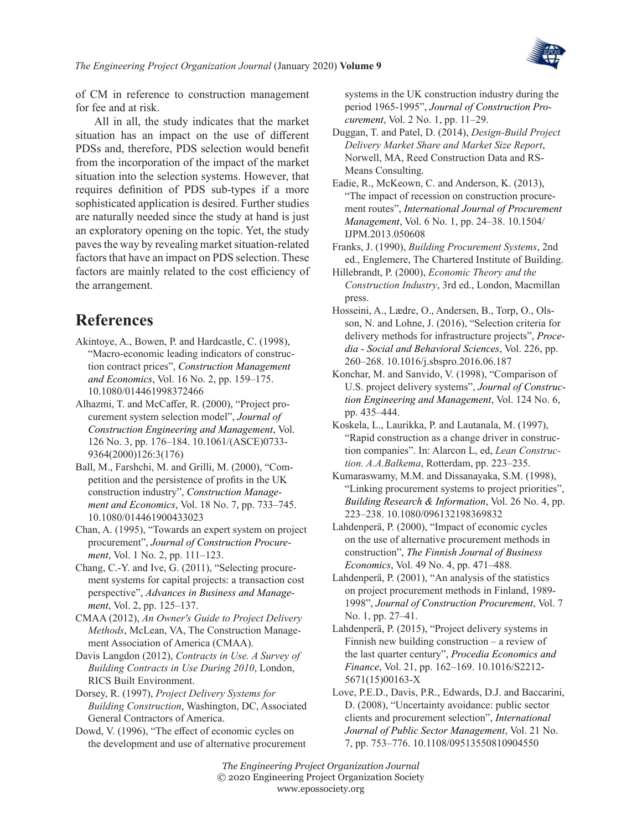

of CM in reference to construction management for fee and at risk.

All in all, the study indicates that the market situation has an impact on the use of different PDSs and, therefore, PDS selection would benefit from the incorporation of the impact of the market situation into the selection systems. However, that requires definition of PDS sub-types if a more sophisticated application is desired. Further studies are naturally needed since the study at hand is just an exploratory opening on the topic. Yet, the study paves the way by revealing market situation-related factors that have an impact on PDS selection. These factors are mainly related to the cost efficiency of the arrangement.

### **References**

- <span id="page-20-20"></span>Akintoye, A., Bowen, P. and Hardcastle, C. (1998), "Macro-economic leading indicators of construction contract prices", *Construction Management and Economics*, Vol. 16 No. 2, pp. 159–175. 10.1080/014461998372466
- <span id="page-20-11"></span>Alhazmi, T. and McCaffer, R. (2000), "Project procurement system selection model", *Journal of Construction Engineering and Management*, Vol. 126 No. 3, pp. 176–184. 10.1061/(ASCE)0733- 9364(2000)126:3(176)
- <span id="page-20-15"></span>Ball, M., Farshchi, M. and Grilli, M. (2000), "Competition and the persistence of profits in the UK construction industry", *Construction Management and Economics*, Vol. 18 No. 7, pp. 733–745. 10.1080/014461900433023
- <span id="page-20-10"></span>Chan, A. (1995), "Towards an expert system on project procurement", *Journal of Construction Procurement*, Vol. 1 No. 2, pp. 111–123.
- <span id="page-20-2"></span>Chang, C.-Y. and Ive, G. (2011), "Selecting procurement systems for capital projects: a transaction cost perspective", *Advances in Business and Management*, Vol. 2, pp. 125–137.
- <span id="page-20-5"></span>CMAA (2012), *An Owner's Guide to Project Delivery Methods*, McLean, VA, The Construction Management Association of America (CMAA).
- <span id="page-20-17"></span>Davis Langdon (2012), *Contracts in Use. A Survey of Building Contracts in Use During 2010*, London, RICS Built Environment.

<span id="page-20-3"></span>Dorsey, R. (1997), *Project Delivery Systems for Building Construction*, Washington, DC, Associated General Contractors of America.

<span id="page-20-7"></span>Dowd, V. (1996), "The effect of economic cycles on the development and use of alternative procurement systems in the UK construction industry during the period 1965-1995", *Journal of Construction Procurement*, Vol. 2 No. 1, pp. 11–29.

<span id="page-20-18"></span>Duggan, T. and Patel, D. (2014), *Design-Build Project Delivery Market Share and Market Size Report*, Norwell, MA, Reed Construction Data and RS-Means Consulting.

<span id="page-20-8"></span>Eadie, R., McKeown, C. and Anderson, K. (2013), "The impact of recession on construction procurement routes", *International Journal of Procurement Management*, Vol. 6 No. 1, pp. 24–38. 10.1504/ IJPM.2013.050608

- <span id="page-20-6"></span>Franks, J. (1990), *Building Procurement Systems*, 2nd ed., Englemere, The Chartered Institute of Building.
- <span id="page-20-14"></span>Hillebrandt, P. (2000), *Economic Theory and the Construction Industry*, 3rd ed., London, Macmillan press.
- <span id="page-20-12"></span>Hosseini, A., Lædre, O., Andersen, B., Torp, O., Olsson, N. and Lohne, J. (2016), "Selection criteria for delivery methods for infrastructure projects", *Procedia - Social and Behavioral Sciences*, Vol. 226, pp. 260–268. 10.1016/j.sbspro.2016.06.187
- <span id="page-20-4"></span>Konchar, M. and Sanvido, V. (1998), "Comparison of U.S. project delivery systems", *Journal of Construction Engineering and Management*, Vol. 124 No. 6, pp. 435–444.
- <span id="page-20-9"></span>Koskela, L., Laurikka, P. and Lautanala, M. (1997), "Rapid construction as a change driver in construction companies". In: Alarcon L, ed, *Lean Construction. A.A.Balkema*, Rotterdam, pp. 223–235.
- <span id="page-20-1"></span>Kumaraswamy, M.M. and Dissanayaka, S.M. (1998), "Linking procurement systems to project priorities", *Building Research & Information*, Vol. 26 No. 4, pp. 223–238. 10.1080/096132198369832
- <span id="page-20-19"></span>Lahdenperä, P. (2000), "Impact of economic cycles on the use of alternative procurement methods in construction", *The Finnish Journal of Business Economics*, Vol. 49 No. 4, pp. 471–488.
- <span id="page-20-16"></span>Lahdenperä, P. (2001), "An analysis of the statistics on project procurement methods in Finland, 1989- 1998", *Journal of Construction Procurement*, Vol. 7 No. 1, pp. 27–41.
- <span id="page-20-13"></span>Lahdenperä, P. (2015), "Project delivery systems in Finnish new building construction – a review of the last quarter century", *Procedia Economics and Finance*, Vol. 21, pp. 162–169. 10.1016/S2212- 5671(15)00163-X
- <span id="page-20-0"></span>Love, P.E.D., Davis, P.R., Edwards, D.J. and Baccarini, D. (2008), "Uncertainty avoidance: public sector clients and procurement selection", *International Journal of Public Sector Management*, Vol. 21 No. 7, pp. 753–776. 10.1108/09513550810904550
- *The Engineering Project Organization Journal* © 2020 Engineering Project Organization Society www.epossociety.org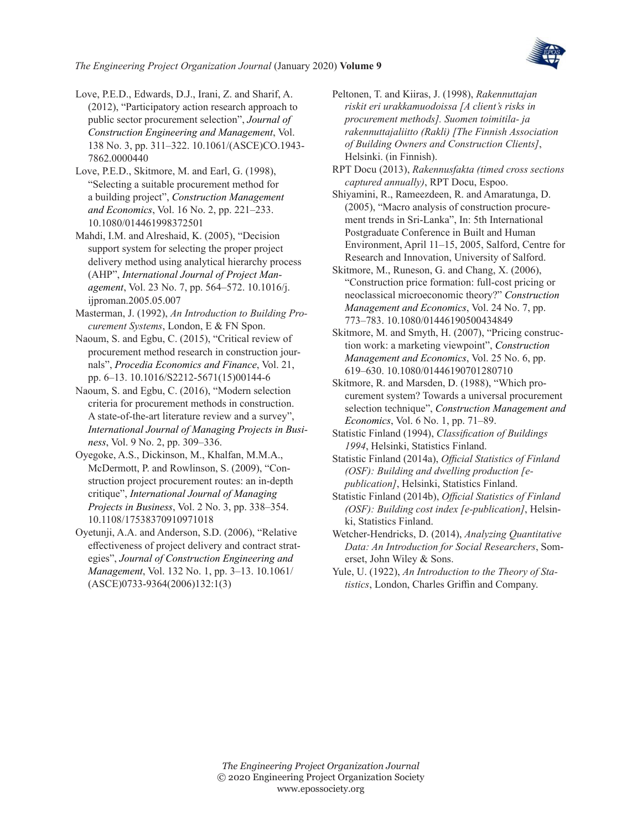

<span id="page-21-0"></span>Love, P.E.D., Edwards, D.J., Irani, Z. and Sharif, A. (2012), "Participatory action research approach to public sector procurement selection", *Journal of Construction Engineering and Management*, Vol. 138 No. 3, pp. 311–322. 10.1061/(ASCE)CO.1943- 7862.0000440

<span id="page-21-1"></span>Love, P.E.D., Skitmore, M. and Earl, G. (1998), "Selecting a suitable procurement method for a building project", *Construction Management and Economics*, Vol. 16 No. 2, pp. 221–233. 10.1080/014461998372501

<span id="page-21-6"></span>Mahdi, I.M. and Alreshaid, K. (2005), "Decision support system for selecting the proper project delivery method using analytical hierarchy process (AHP", *International Journal of Project Management*, Vol. 23 No. 7, pp. 564–572. 10.1016/j. ijproman.2005.05.007

<span id="page-21-2"></span>Masterman, J. (1992), *An Introduction to Building Procurement Systems*, London, E & FN Spon.

<span id="page-21-9"></span>Naoum, S. and Egbu, C. (2015), "Critical review of procurement method research in construction journals", *Procedia Economics and Finance*, Vol. 21, pp. 6–13. 10.1016/S2212-5671(15)00144-6

<span id="page-21-10"></span>Naoum, S. and Egbu, C. (2016), "Modern selection criteria for procurement methods in construction. A state-of-the-art literature review and a survey", *International Journal of Managing Projects in Business*, Vol. 9 No. 2, pp. 309–336.

<span id="page-21-4"></span>Oyegoke, A.S., Dickinson, M., Khalfan, M.M.A., McDermott, P. and Rowlinson, S. (2009), "Construction project procurement routes: an in‐depth critique", *International Journal of Managing Projects in Business*, Vol. 2 No. 3, pp. 338–354. 10.1108/17538370910971018

<span id="page-21-7"></span>Oyetunji, A.A. and Anderson, S.D. (2006), "Relative effectiveness of project delivery and contract strategies", *Journal of Construction Engineering and Management*, Vol. 132 No. 1, pp. 3–13. 10.1061/ (ASCE)0733-9364(2006)132:1(3)

<span id="page-21-3"></span>Peltonen, T. and Kiiras, J. (1998), *Rakennuttajan riskit eri urakkamuodoissa [A client's risks in procurement methods]. Suomen toimitila- ja rakennuttajaliitto (Rakli) [The Finnish Association of Building Owners and Construction Clients]*, Helsinki. (in Finnish).

<span id="page-21-13"></span>RPT Docu (2013), *Rakennusfakta (timed cross sections captured annually)*, RPT Docu, Espoo.

<span id="page-21-5"></span>Shiyamini, R., Rameezdeen, R. and Amaratunga, D. (2005), "Macro analysis of construction procurement trends in Sri-Lanka", In: 5th International Postgraduate Conference in Built and Human Environment, April 11–15, 2005, Salford, Centre for Research and Innovation, University of Salford.

<span id="page-21-11"></span>Skitmore, M., Runeson, G. and Chang, X. (2006), "Construction price formation: full‐cost pricing or neoclassical microeconomic theory?" *Construction Management and Economics*, Vol. 24 No. 7, pp. 773–783. 10.1080/01446190500434849

<span id="page-21-12"></span>Skitmore, M. and Smyth, H. (2007), "Pricing construction work: a marketing viewpoint", *Construction Management and Economics*, Vol. 25 No. 6, pp. 619–630. 10.1080/01446190701280710

<span id="page-21-8"></span>Skitmore, R. and Marsden, D. (1988), "Which procurement system? Towards a universal procurement selection technique", *Construction Management and Economics*, Vol. 6 No. 1, pp. 71–89.

<span id="page-21-14"></span>Statistic Finland (1994), *Classification of Buildings 1994*, Helsinki, Statistics Finland.

<span id="page-21-15"></span>Statistic Finland (2014a), *Official Statistics of Finland (OSF): Building and dwelling production [epublication]*, Helsinki, Statistics Finland.

<span id="page-21-16"></span>Statistic Finland (2014b), *Official Statistics of Finland (OSF): Building cost index [e-publication]*, Helsinki, Statistics Finland.

<span id="page-21-17"></span>Wetcher-Hendricks, D. (2014), *Analyzing Quantitative Data: An Introduction for Social Researchers*, Somerset, John Wiley & Sons.

<span id="page-21-18"></span>Yule, U. (1922), *An Introduction to the Theory of Statistics*, London, Charles Griffin and Company.